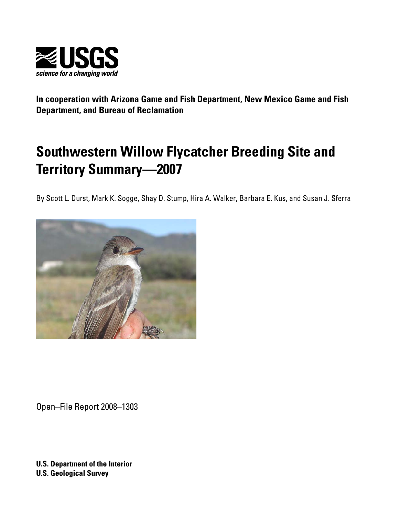

**In cooperation with Arizona Game and Fish Department, New Mexico Game and Fish Department, and Bureau of Reclamation** 

# **Southwestern Willow Flycatcher Breeding Site and Territory Summary—2007**

By Scott L. Durst, Mark K. Sogge, Shay D. Stump, Hira A. Walker, Barbara E. Kus, and Susan J. Sferra



Open–File Report 2008–1303

**U.S. Department of the Interior U.S. Geological Survey**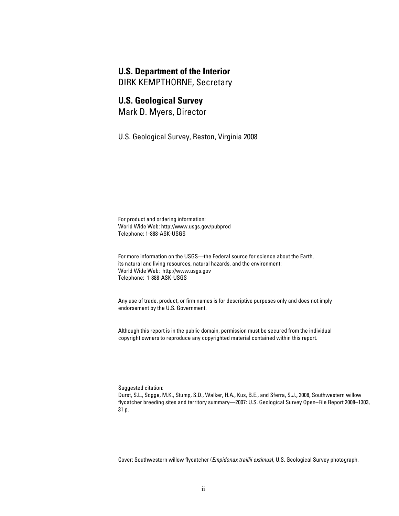#### **U.S. Department of the Interior**

DIRK KEMPTHORNE, Secretary

#### **U.S. Geological Survey**

Mark D. Myers, Director

U.S. Geological Survey, Reston, Virginia 2008

For product and ordering information: World Wide Web:<http://www.usgs.gov/pubprod> Telephone: 1-888-ASK-USGS

For more information on the USGS—the Federal source for science about the Earth, its natural and living resources, natural hazards, and the environment: World Wide Web: <http://www.usgs.gov> Telephone: 1-888-ASK-USGS

Any use of trade, product, or firm names is for descriptive purposes only and does not imply endorsement by the U.S. Government.

Although this report is in the public domain, permission must be secured from the individual copyright owners to reproduce any copyrighted material contained within this report.

Suggested citation:

Durst, S.L., Sogge, M.K., Stump, S.D., Walker, H.A., Kus, B.E., and Sferra, S.J., 2008, Southwestern willow flycatcher breeding sites and territory summary—2007: U.S. Geological Survey Open–File Report 2008–1303, 31 p.

Cover: Southwestern willow flycatcher (*Empidonax traillii extimus*), U.S. Geological Survey photograph.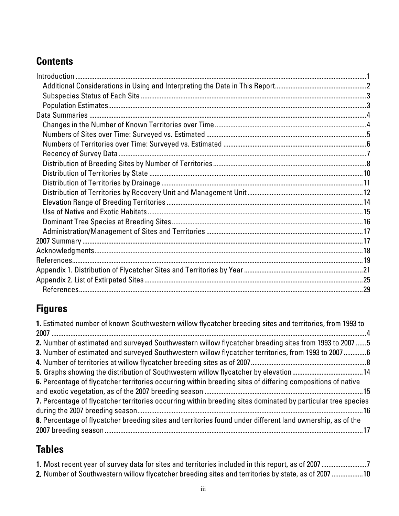## **Contents**

## **Figures**

| 1. Estimated number of known Southwestern willow flycatcher breeding sites and territories, from 1993 to     |  |
|--------------------------------------------------------------------------------------------------------------|--|
|                                                                                                              |  |
| 2. Number of estimated and surveyed Southwestern willow flycatcher breeding sites from 1993 to 2007  5       |  |
| 3. Number of estimated and surveyed Southwestern willow flycatcher territories, from 1993 to 2007 6          |  |
|                                                                                                              |  |
|                                                                                                              |  |
| 6. Percentage of flycatcher territories occurring within breeding sites of differing compositions of native  |  |
|                                                                                                              |  |
| 7. Percentage of flycatcher territories occurring within breeding sites dominated by particular tree species |  |
|                                                                                                              |  |
| 8. Percentage of flycatcher breeding sites and territories found under different land ownership, as of the   |  |
|                                                                                                              |  |

## **Tables**

| 1. Most recent year of survey data for sites and territories included in this report, as of 2007 7 |  |
|----------------------------------------------------------------------------------------------------|--|
| 2. Number of Southwestern willow flycatcher breeding sites and territories by state, as of 2007 10 |  |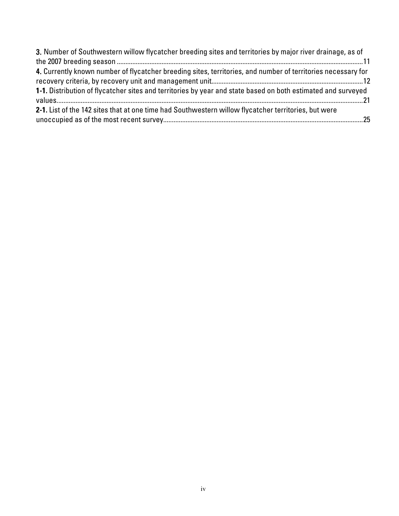| 3. Number of Southwestern willow flycatcher breeding sites and territories by major river drainage, as of    |  |
|--------------------------------------------------------------------------------------------------------------|--|
|                                                                                                              |  |
| 4. Currently known number of flycatcher breeding sites, territories, and number of territories necessary for |  |
|                                                                                                              |  |
| 1-1. Distribution of flycatcher sites and territories by year and state based on both estimated and surveyed |  |
|                                                                                                              |  |
| 2-1. List of the 142 sites that at one time had Southwestern willow flycatcher territories, but were         |  |
|                                                                                                              |  |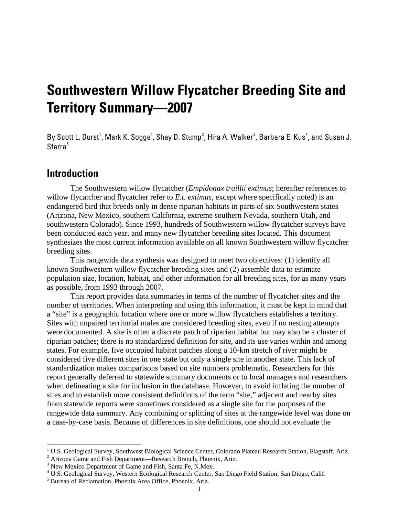# <span id="page-4-0"></span>**Southwestern Willow Flycatcher Breeding Site and Territory Summary—2007**

By Scott L. Durst<sup>[1](#page-4-1)</sup>, Mark K. Sogge<sup>1</sup>, Shay D. Stump<sup>[2](#page-4-2)</sup>, Hira A. Walker $^3$  $^3$ , Barbara E. Kus $^4$  $^4$ , and Susan J. Sferra<sup>[5](#page-4-5)</sup>

## **Introduction**

-

The Southwestern willow flycatcher (*Empidonax traillii extimus*; hereafter references to willow flycatcher and flycatcher refer to *E.t. extimus*, except where specifically noted) is an endangered bird that breeds only in dense riparian habitats in parts of six Southwestern states (Arizona, New Mexico, southern California, extreme southern Nevada, southern Utah, and southwestern Colorado). Since 1993, hundreds of Southwestern willow flycatcher surveys have been conducted each year, and many new flycatcher breeding sites located. This document synthesizes the most current information available on all known Southwestern willow flycatcher breeding sites.

This rangewide data synthesis was designed to meet two objectives: (1) identify all known Southwestern willow flycatcher breeding sites and (2) assemble data to estimate population size, location, habitat, and other information for all breeding sites, for as many years as possible, from 1993 through 2007.

This report provides data summaries in terms of the number of flycatcher sites and the number of territories. When interpreting and using this information, it must be kept in mind that a "site" is a geographic location where one or more willow flycatchers establishes a territory. Sites with unpaired territorial males are considered breeding sites, even if no nesting attempts were documented. A site is often a discrete patch of riparian habitat but may also be a cluster of riparian patches; there is no standardized definition for site, and its use varies within and among states. For example, five occupied habitat patches along a 10-km stretch of river might be considered five different sites in one state but only a single site in another state. This lack of standardization makes comparisons based on site numbers problematic. Researchers for this report generally deferred to statewide summary documents or to local managers and researchers when delineating a site for inclusion in the database. However, to avoid inflating the number of sites and to establish more consistent definitions of the term "site," adjacent and nearby sites from statewide reports were sometimes considered as a single site for the purposes of the rangewide data summary. Any combining or splitting of sites at the rangewide level was done on a case-by-case basis. Because of differences in site definitions, one should not evaluate the

<span id="page-4-1"></span><sup>&</sup>lt;sup>1</sup> U.S. Geological Survey, Southwest Biological Science Center, Colorado Plateau Research Station, Flagstaff, Ariz.

<span id="page-4-2"></span><sup>&</sup>lt;sup>2</sup> Arizona Game and Fish Department—Research Branch, Phoenix, Ariz.

<span id="page-4-3"></span><sup>&</sup>lt;sup>3</sup> New Mexico Department of Game and Fish, Santa Fe, N.Mex.

<span id="page-4-4"></span><sup>&</sup>lt;sup>4</sup> U.S. Geological Survey, Western Ecological Research Center, San Diego Field Station, San Diego, Calif.

<span id="page-4-5"></span><sup>&</sup>lt;sup>5</sup> Bureau of Reclamation, Phoenix Area Office, Phoenix, Ariz.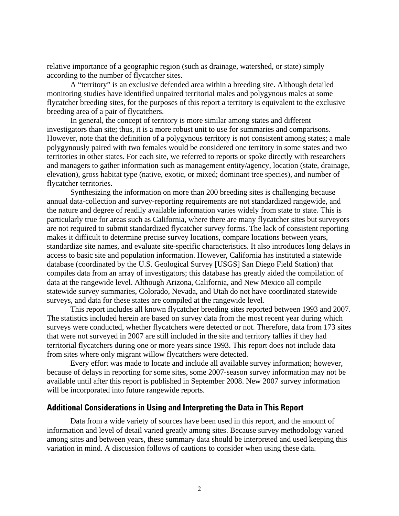<span id="page-5-0"></span>relative importance of a geographic region (such as drainage, watershed, or state) simply according to the number of flycatcher sites.

A "territory" is an exclusive defended area within a breeding site. Although detailed monitoring studies have identified unpaired territorial males and polygynous males at some flycatcher breeding sites, for the purposes of this report a territory is equivalent to the exclusive breeding area of a pair of flycatchers.

In general, the concept of territory is more similar among states and different investigators than site; thus, it is a more robust unit to use for summaries and comparisons. However, note that the definition of a polygynous territory is not consistent among states; a male polygynously paired with two females would be considered one territory in some states and two territories in other states. For each site, we referred to reports or spoke directly with researchers and managers to gather information such as management entity/agency, location (state, drainage, elevation), gross habitat type (native, exotic, or mixed; dominant tree species), and number of flycatcher territories.

Synthesizing the information on more than 200 breeding sites is challenging because annual data-collection and survey-reporting requirements are not standardized rangewide, and the nature and degree of readily available information varies widely from state to state. This is particularly true for areas such as California, where there are many flycatcher sites but surveyors are not required to submit standardized flycatcher survey forms. The lack of consistent reporting makes it difficult to determine precise survey locations, compare locations between years, standardize site names, and evaluate site-specific characteristics. It also introduces long delays in access to basic site and population information. However, California has instituted a statewide database (coordinated by the U.S. Geological Survey [USGS] San Diego Field Station) that compiles data from an array of investigators; this database has greatly aided the compilation of data at the rangewide level. Although Arizona, California, and New Mexico all compile statewide survey summaries, Colorado, Nevada, and Utah do not have coordinated statewide surveys, and data for these states are compiled at the rangewide level.

This report includes all known flycatcher breeding sites reported between 1993 and 2007. The statistics included herein are based on survey data from the most recent year during which surveys were conducted, whether flycatchers were detected or not. Therefore, data from 173 sites that were not surveyed in 2007 are still included in the site and territory tallies if they had territorial flycatchers during one or more years since 1993. This report does not include data from sites where only migrant willow flycatchers were detected.

Every effort was made to locate and include all available survey information; however, because of delays in reporting for some sites, some 2007-season survey information may not be available until after this report is published in September 2008. New 2007 survey information will be incorporated into future rangewide reports.

#### **Additional Considerations in Using and Interpreting the Data in This Report**

Data from a wide variety of sources have been used in this report, and the amount of information and level of detail varied greatly among sites. Because survey methodology varied among sites and between years, these summary data should be interpreted and used keeping this variation in mind. A discussion follows of cautions to consider when using these data.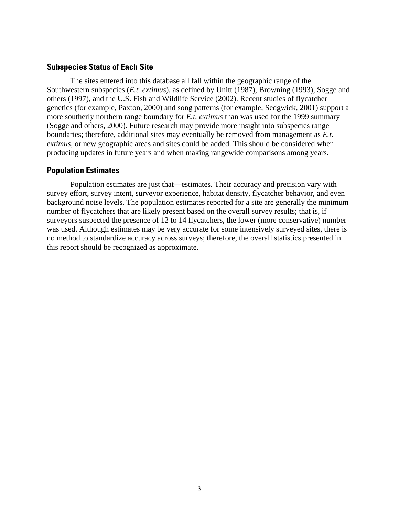#### <span id="page-6-0"></span>**Subspecies Status of Each Site**

The sites entered into this database all fall within the geographic range of the Southwestern subspecies (*E.t. extimus*), as defined by Unitt (1987), Browning (1993), Sogge and others (1997), and the U.S. Fish and Wildlife Service (2002). Recent studies of flycatcher genetics (for example, Paxton, 2000) and song patterns (for example, Sedgwick, 2001) support a more southerly northern range boundary for *E.t. extimus* than was used for the 1999 summary (Sogge and others, 2000). Future research may provide more insight into subspecies range boundaries; therefore, additional sites may eventually be removed from management as *E.t. extimus*, or new geographic areas and sites could be added. This should be considered when producing updates in future years and when making rangewide comparisons among years.

#### **Population Estimates**

Population estimates are just that—estimates. Their accuracy and precision vary with survey effort, survey intent, surveyor experience, habitat density, flycatcher behavior, and even background noise levels. The population estimates reported for a site are generally the minimum number of flycatchers that are likely present based on the overall survey results; that is, if surveyors suspected the presence of 12 to 14 flycatchers, the lower (more conservative) number was used. Although estimates may be very accurate for some intensively surveyed sites, there is no method to standardize accuracy across surveys; therefore, the overall statistics presented in this report should be recognized as approximate.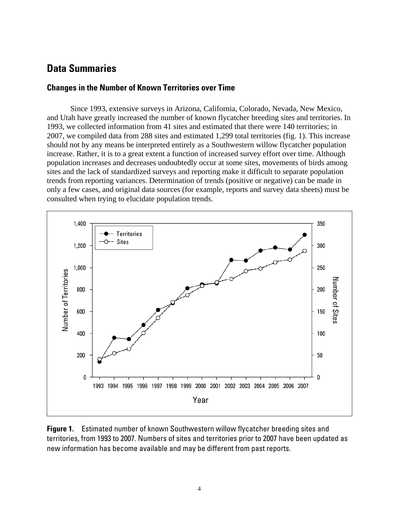## <span id="page-7-0"></span>**Data Summaries**

#### **Changes in the Number of Known Territories over Time**

Since 1993, extensive surveys in Arizona, California, Colorado, Nevada, New Mexico, and Utah have greatly increased the number of known flycatcher breeding sites and territories. In 1993, we collected information from 41 sites and estimated that there were 140 territories; in 2007, we compiled data from 288 sites and estimated 1,299 total territories (fig. 1). This increase should not by any means be interpreted entirely as a Southwestern willow flycatcher population increase. Rather, it is to a great extent a function of increased survey effort over time. Although population increases and decreases undoubtedly occur at some sites, movements of birds among sites and the lack of standardized surveys and reporting make it difficult to separate population trends from reporting variances. Determination of trends (positive or negative) can be made in only a few cases, and original data sources (for example, reports and survey data sheets) must be consulted when trying to elucidate population trends.



**Figure 1.** Estimated number of known Southwestern willow flycatcher breeding sites and territories, from 1993 to 2007. Numbers of sites and territories prior to 2007 have been updated as new information has become available and may be different from past reports.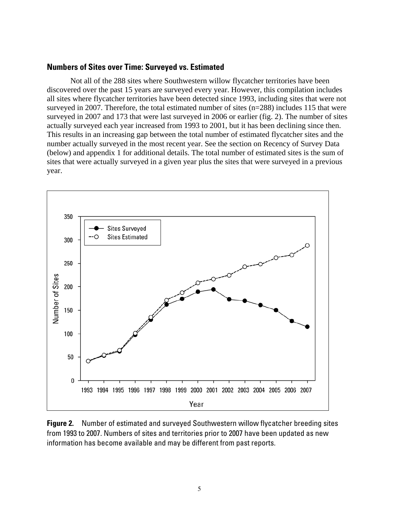#### <span id="page-8-0"></span>**Numbers of Sites over Time: Surveyed vs. Estimated**

Not all of the 288 sites where Southwestern willow flycatcher territories have been discovered over the past 15 years are surveyed every year. However, this compilation includes all sites where flycatcher territories have been detected since 1993, including sites that were not surveyed in 2007. Therefore, the total estimated number of sites (n=288) includes 115 that were surveyed in 2007 and 173 that were last surveyed in 2006 or earlier (fig. 2). The number of sites actually surveyed each year increased from 1993 to 2001, but it has been declining since then. This results in an increasing gap between the total number of estimated flycatcher sites and the number actually surveyed in the most recent year. See the section on Recency of Survey Data (below) and appendix 1 for additional details. The total number of estimated sites is the sum of sites that were actually surveyed in a given year plus the sites that were surveyed in a previous year.



**Figure 2.** Number of estimated and surveyed Southwestern willow flycatcher breeding sites from 1993 to 2007. Numbers of sites and territories prior to 2007 have been updated as new information has become available and may be different from past reports.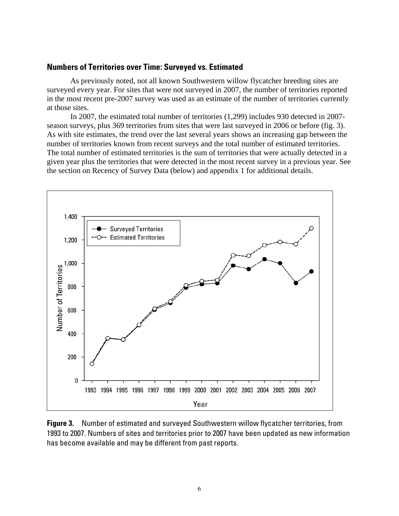#### <span id="page-9-0"></span>**Numbers of Territories over Time: Surveyed vs. Estimated**

As previously noted, not all known Southwestern willow flycatcher breeding sites are surveyed every year. For sites that were not surveyed in 2007, the number of territories reported in the most recent pre-2007 survey was used as an estimate of the number of territories currently at those sites.

In 2007, the estimated total number of territories (1,299) includes 930 detected in 2007 season surveys, plus 369 territories from sites that were last surveyed in 2006 or before (fig. 3). As with site estimates, the trend over the last several years shows an increasing gap between the number of territories known from recent surveys and the total number of estimated territories. The total number of estimated territories is the sum of territories that were actually detected in a given year plus the territories that were detected in the most recent survey in a previous year. See the section on Recency of Survey Data (below) and appendix 1 for additional details.



**Figure 3.** Number of estimated and surveyed Southwestern willow flycatcher territories, from 1993 to 2007. Numbers of sites and territories prior to 2007 have been updated as new information has become available and may be different from past reports.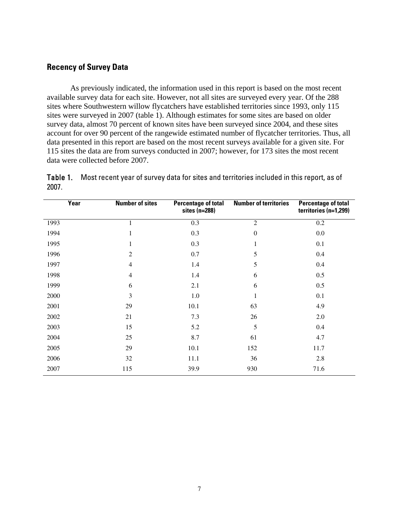#### <span id="page-10-0"></span>**Recency of Survey Data**

As previously indicated, the information used in this report is based on the most recent available survey data for each site. However, not all sites are surveyed every year. Of the 288 sites where Southwestern willow flycatchers have established territories since 1993, only 115 sites were surveyed in 2007 (table 1). Although estimates for some sites are based on older survey data, almost 70 percent of known sites have been surveyed since 2004, and these sites account for over 90 percent of the rangewide estimated number of flycatcher territories. Thus, all data presented in this report are based on the most recent surveys available for a given site. For 115 sites the data are from surveys conducted in 2007; however, for 173 sites the most recent data were collected before 2007.

Table 1. Most recent year of survey data for sites and territories included in this report, as of 2007.

| Year | <b>Number of sites</b> | <b>Percentage of total</b><br>sites $(n=288)$ | <b>Number of territories</b> | <b>Percentage of total</b><br>territories (n=1,299) |
|------|------------------------|-----------------------------------------------|------------------------------|-----------------------------------------------------|
| 1993 | 1                      | 0.3                                           | $\sqrt{2}$                   | 0.2                                                 |
| 1994 | $\mathbf{1}$           | 0.3                                           | $\boldsymbol{0}$             | 0.0                                                 |
| 1995 | 1                      | 0.3                                           | $\mathbf{1}$                 | 0.1                                                 |
| 1996 | $\mathfrak{2}$         | 0.7                                           | 5                            | 0.4                                                 |
| 1997 | $\overline{4}$         | 1.4                                           | $\mathfrak s$                | 0.4                                                 |
| 1998 | $\overline{4}$         | 1.4                                           | 6                            | 0.5                                                 |
| 1999 | 6                      | 2.1                                           | 6                            | 0.5                                                 |
| 2000 | 3                      | 1.0                                           | 1                            | 0.1                                                 |
| 2001 | 29                     | 10.1                                          | 63                           | 4.9                                                 |
| 2002 | 21                     | 7.3                                           | 26                           | 2.0                                                 |
| 2003 | 15                     | 5.2                                           | 5                            | 0.4                                                 |
| 2004 | 25                     | 8.7                                           | 61                           | 4.7                                                 |
| 2005 | 29                     | 10.1                                          | 152                          | 11.7                                                |
| 2006 | 32                     | 11.1                                          | 36                           | 2.8                                                 |
| 2007 | 115                    | 39.9                                          | 930                          | 71.6                                                |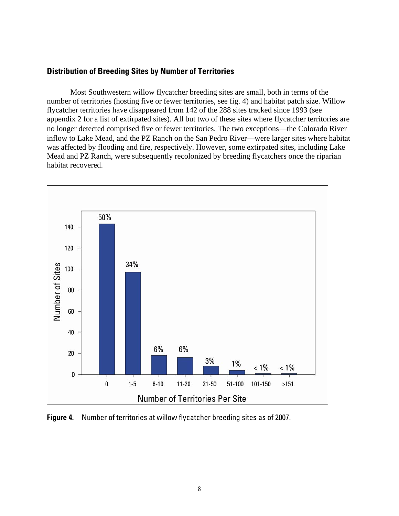#### <span id="page-11-0"></span>**Distribution of Breeding Sites by Number of Territories**

Most Southwestern willow flycatcher breeding sites are small, both in terms of the number of territories (hosting five or fewer territories, see fig. 4) and habitat patch size. Willow flycatcher territories have disappeared from 142 of the 288 sites tracked since 1993 (see appendix 2 for a list of extirpated sites). All but two of these sites where flycatcher territories are no longer detected comprised five or fewer territories. The two exceptions—the Colorado River inflow to Lake Mead, and the PZ Ranch on the San Pedro River—were larger sites where habitat was affected by flooding and fire, respectively. However, some extirpated sites, including Lake Mead and PZ Ranch, were subsequently recolonized by breeding flycatchers once the riparian habitat recovered.



**Figure 4.** Number of territories at willow flycatcher breeding sites as of 2007.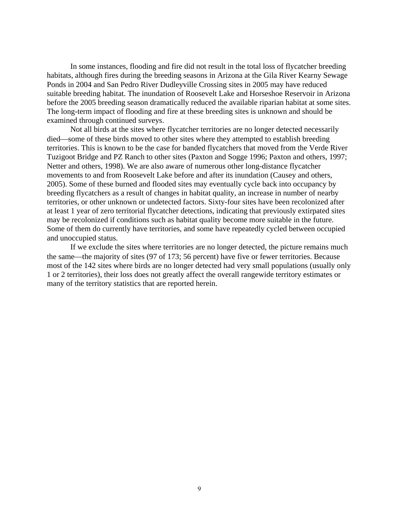In some instances, flooding and fire did not result in the total loss of flycatcher breeding habitats, although fires during the breeding seasons in Arizona at the Gila River Kearny Sewage Ponds in 2004 and San Pedro River Dudleyville Crossing sites in 2005 may have reduced suitable breeding habitat. The inundation of Roosevelt Lake and Horseshoe Reservoir in Arizona before the 2005 breeding season dramatically reduced the available riparian habitat at some sites. The long-term impact of flooding and fire at these breeding sites is unknown and should be examined through continued surveys.

Not all birds at the sites where flycatcher territories are no longer detected necessarily died—some of these birds moved to other sites where they attempted to establish breeding territories. This is known to be the case for banded flycatchers that moved from the Verde River Tuzigoot Bridge and PZ Ranch to other sites (Paxton and Sogge 1996; Paxton and others, 1997; Netter and others, 1998). We are also aware of numerous other long-distance flycatcher movements to and from Roosevelt Lake before and after its inundation (Causey and others, 2005). Some of these burned and flooded sites may eventually cycle back into occupancy by breeding flycatchers as a result of changes in habitat quality, an increase in number of nearby territories, or other unknown or undetected factors. Sixty-four sites have been recolonized after at least 1 year of zero territorial flycatcher detections, indicating that previously extirpated sites may be recolonized if conditions such as habitat quality become more suitable in the future. Some of them do currently have territories, and some have repeatedly cycled between occupied and unoccupied status.

If we exclude the sites where territories are no longer detected, the picture remains much the same—the majority of sites (97 of 173; 56 percent) have five or fewer territories. Because most of the 142 sites where birds are no longer detected had very small populations (usually only 1 or 2 territories), their loss does not greatly affect the overall rangewide territory estimates or many of the territory statistics that are reported herein.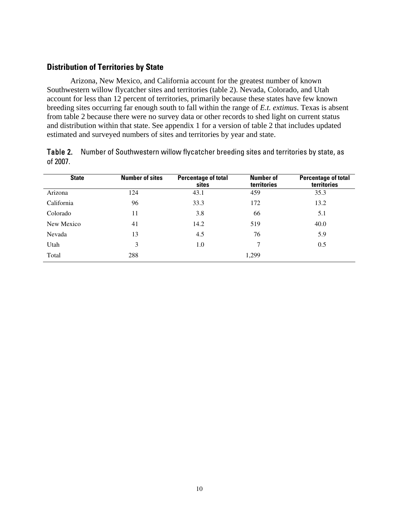#### <span id="page-13-0"></span>**Distribution of Territories by State**

Arizona, New Mexico, and California account for the greatest number of known Southwestern willow flycatcher sites and territories (table 2). Nevada, Colorado, and Utah account for less than 12 percent of territories, primarily because these states have few known breeding sites occurring far enough south to fall within the range of *E.t. extimus*. Texas is absent from table 2 because there were no survey data or other records to shed light on current status and distribution within that state. See appendix 1 for a version of table 2 that includes updated estimated and surveyed numbers of sites and territories by year and state.

Table 2. Number of Southwestern willow flycatcher breeding sites and territories by state, as of 2007.

| <b>State</b> | <b>Number of sites</b> | <b>Percentage of total</b><br>sites | <b>Number of</b><br>territories | <b>Percentage of total</b><br>territories |
|--------------|------------------------|-------------------------------------|---------------------------------|-------------------------------------------|
| Arizona      | 124                    | 43.1                                | 459                             | 35.3                                      |
| California   | 96                     | 33.3                                | 172                             | 13.2                                      |
| Colorado     | 11                     | 3.8                                 | 66                              | 5.1                                       |
| New Mexico   | 41                     | 14.2                                | 519                             | 40.0                                      |
| Nevada       | 13                     | 4.5                                 | 76                              | 5.9                                       |
| Utah         | 3                      | 1.0                                 | 7                               | 0.5                                       |
| Total        | 288                    |                                     | 1,299                           |                                           |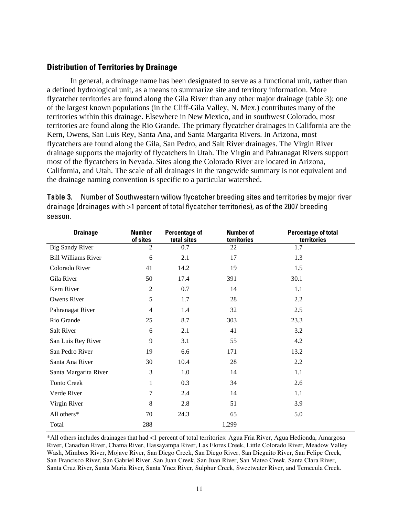#### <span id="page-14-0"></span>**Distribution of Territories by Drainage**

In general, a drainage name has been designated to serve as a functional unit, rather than a defined hydrological unit, as a means to summarize site and territory information. More flycatcher territories are found along the Gila River than any other major drainage (table 3); one of the largest known populations (in the Cliff-Gila Valley, N. Mex.) contributes many of the territories within this drainage. Elsewhere in New Mexico, and in southwest Colorado, most territories are found along the Rio Grande. The primary flycatcher drainages in California are the Kern, Owens, San Luis Rey, Santa Ana, and Santa Margarita Rivers. In Arizona, most flycatchers are found along the Gila, San Pedro, and Salt River drainages. The Virgin River drainage supports the majority of flycatchers in Utah. The Virgin and Pahranagat Rivers support most of the flycatchers in Nevada. Sites along the Colorado River are located in Arizona, California, and Utah. The scale of all drainages in the rangewide summary is not equivalent and the drainage naming convention is specific to a particular watershed.

| <b>Drainage</b>            | <b>Number</b><br>of sites | <b>Percentage of</b><br>total sites | <b>Number of</b><br>territories | <b>Percentage of total</b><br>territories |
|----------------------------|---------------------------|-------------------------------------|---------------------------------|-------------------------------------------|
| <b>Big Sandy River</b>     | $\overline{2}$            | 0.7                                 | 22                              | 1.7                                       |
| <b>Bill Williams River</b> | 6                         | 2.1                                 | 17                              | 1.3                                       |
| Colorado River             | 41                        | 14.2                                | 19                              | 1.5                                       |
| Gila River                 | 50                        | 17.4                                | 391                             | 30.1                                      |
| Kern River                 | $\overline{2}$            | 0.7                                 | 14                              | 1.1                                       |
| Owens River                | 5                         | 1.7                                 | 28                              | 2.2                                       |
| Pahranagat River           | $\overline{4}$            | 1.4                                 | 32                              | 2.5                                       |
| Rio Grande                 | 25                        | 8.7                                 | 303                             | 23.3                                      |
| Salt River                 | 6                         | 2.1                                 | 41                              | 3.2                                       |
| San Luis Rey River         | 9                         | 3.1                                 | 55                              | 4.2                                       |
| San Pedro River            | 19                        | 6.6                                 | 171                             | 13.2                                      |
| Santa Ana River            | 30                        | 10.4                                | 28                              | 2.2                                       |
| Santa Margarita River      | 3                         | 1.0                                 | 14                              | 1.1                                       |
| <b>Tonto Creek</b>         | 1                         | 0.3                                 | 34                              | 2.6                                       |
| Verde River                | 7                         | 2.4                                 | 14                              | 1.1                                       |
| Virgin River               | 8                         | 2.8                                 | 51                              | 3.9                                       |
| All others*                | 70                        | 24.3                                | 65                              | 5.0                                       |
| Total                      | 288                       |                                     | 1,299                           |                                           |

Table 3. Number of Southwestern willow flycatcher breeding sites and territories by major river drainage (drainages with >1 percent of total flycatcher territories), as of the 2007 breeding season.

\*All others includes drainages that had <1 percent of total territories: Agua Fria River, Agua Hedionda, Amargosa River, Canadian River, Chama River, Hassayampa River, Las Flores Creek, Little Colorado River, Meadow Valley Wash, Mimbres River, Mojave River, San Diego Creek, San Diego River, San Dieguito River, San Felipe Creek, San Francisco River, San Gabriel River, San Juan Creek, San Juan River, San Mateo Creek, Santa Clara River, Santa Cruz River, Santa Maria River, Santa Ynez River, Sulphur Creek, Sweetwater River, and Temecula Creek.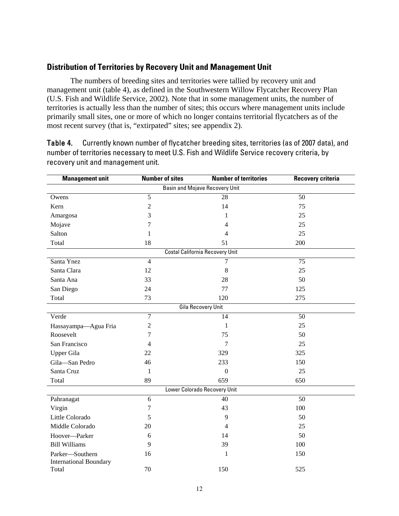#### <span id="page-15-0"></span>**Distribution of Territories by Recovery Unit and Management Unit**

The numbers of breeding sites and territories were tallied by recovery unit and management unit (table 4), as defined in the Southwestern Willow Flycatcher Recovery Plan (U.S. Fish and Wildlife Service, 2002). Note that in some management units, the number of territories is actually less than the number of sites; this occurs where management units include primarily small sites, one or more of which no longer contains territorial flycatchers as of the most recent survey (that is, "extirpated" sites; see appendix 2).

Table 4. Currently known number of flycatcher breeding sites, territories (as of 2007 data), and number of territories necessary to meet U.S. Fish and Wildlife Service recovery criteria, by recovery unit and management unit.

| <b>Management unit</b>                | <b>Number of sites</b> | <b>Number of territories</b>    |     |  |  |  |  |  |  |
|---------------------------------------|------------------------|---------------------------------|-----|--|--|--|--|--|--|
| <b>Basin and Mojave Recovery Unit</b> |                        |                                 |     |  |  |  |  |  |  |
| Owens                                 | $\overline{5}$         | 28                              | 50  |  |  |  |  |  |  |
| Kern                                  | $\overline{2}$         | 14                              | 75  |  |  |  |  |  |  |
| Amargosa                              | 3                      | 1                               | 25  |  |  |  |  |  |  |
| Mojave                                | 7                      | 4                               | 25  |  |  |  |  |  |  |
| Salton                                | 1                      | 4                               | 25  |  |  |  |  |  |  |
| Total                                 | 18                     | 51                              | 200 |  |  |  |  |  |  |
|                                       |                        | Costal California Recovery Unit |     |  |  |  |  |  |  |
| Santa Ynez                            | $\overline{4}$         | 7                               | 75  |  |  |  |  |  |  |
| Santa Clara                           | 12                     | 8                               | 25  |  |  |  |  |  |  |
| Santa Ana                             | 33                     | 28                              | 50  |  |  |  |  |  |  |
| San Diego                             | 24                     | 77                              | 125 |  |  |  |  |  |  |
| Total                                 | 73                     | 120                             | 275 |  |  |  |  |  |  |
|                                       |                        | Gila Recovery Unit              |     |  |  |  |  |  |  |
| Verde                                 | $\overline{7}$         | 14                              | 50  |  |  |  |  |  |  |
| Hassayampa-Agua Fria                  | $\mathfrak{2}$         | 1                               | 25  |  |  |  |  |  |  |
| Roosevelt                             | 7                      | 75                              | 50  |  |  |  |  |  |  |
| San Francisco                         | 4                      | 7                               | 25  |  |  |  |  |  |  |
| <b>Upper Gila</b>                     | 22                     | 329                             | 325 |  |  |  |  |  |  |
| Gila-San Pedro                        | 46                     | 233                             | 150 |  |  |  |  |  |  |
| Santa Cruz                            | 1                      | $\boldsymbol{0}$                | 25  |  |  |  |  |  |  |
| Total                                 | 89                     | 659                             | 650 |  |  |  |  |  |  |
|                                       |                        | Lower Colorado Recovery Unit    |     |  |  |  |  |  |  |
| Pahranagat                            | 6                      | 40                              | 50  |  |  |  |  |  |  |
| Virgin                                | 7                      | 43                              | 100 |  |  |  |  |  |  |
| Little Colorado                       | 5                      | 9                               | 50  |  |  |  |  |  |  |
| Middle Colorado                       | 20                     | 4                               | 25  |  |  |  |  |  |  |
| Hoover-Parker                         | 6                      | 14                              | 50  |  |  |  |  |  |  |
| <b>Bill Williams</b>                  | 9                      | 39                              | 100 |  |  |  |  |  |  |
| Parker-Southern                       | 16                     | $\mathbf{1}$                    | 150 |  |  |  |  |  |  |
| <b>International Boundary</b>         |                        |                                 |     |  |  |  |  |  |  |
| Total                                 | 70                     | 150                             | 525 |  |  |  |  |  |  |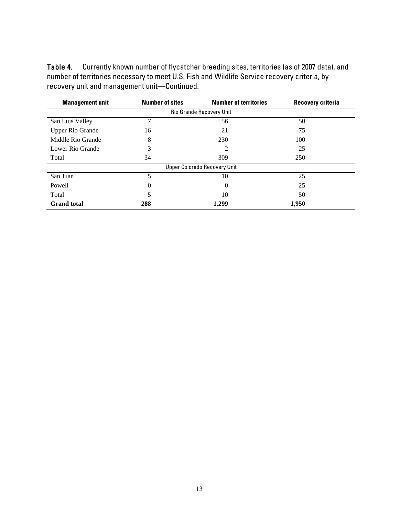Table 4. Currently known number of flycatcher breeding sites, territories (as of 2007 data), and number of territories necessary to meet U.S. Fish and Wildlife Service recovery criteria, by recovery unit and management unit—Continued.

| <b>Management unit</b>   | <b>Number of sites</b> | <b>Number of territories</b>        | <b>Recovery criteria</b> |  |  |  |  |  |  |
|--------------------------|------------------------|-------------------------------------|--------------------------|--|--|--|--|--|--|
| Rio Grande Recovery Unit |                        |                                     |                          |  |  |  |  |  |  |
| San Luis Valley          |                        | 56                                  | 50                       |  |  |  |  |  |  |
| <b>Upper Rio Grande</b>  | 16                     | 21                                  | 75                       |  |  |  |  |  |  |
| Middle Rio Grande        | 8                      | 230                                 | 100                      |  |  |  |  |  |  |
| Lower Rio Grande         | 3                      | $\mathfrak{D}$                      | 25                       |  |  |  |  |  |  |
| Total                    | 34                     | 309                                 | 250                      |  |  |  |  |  |  |
|                          |                        | <b>Upper Colorado Recovery Unit</b> |                          |  |  |  |  |  |  |
| San Juan                 | 5                      | 10                                  | 25                       |  |  |  |  |  |  |
| Powell                   | 0                      | 0                                   | 25                       |  |  |  |  |  |  |
| Total                    |                        | 10                                  | 50                       |  |  |  |  |  |  |
| <b>Grand</b> total       | 288                    | 1,299                               | 1,950                    |  |  |  |  |  |  |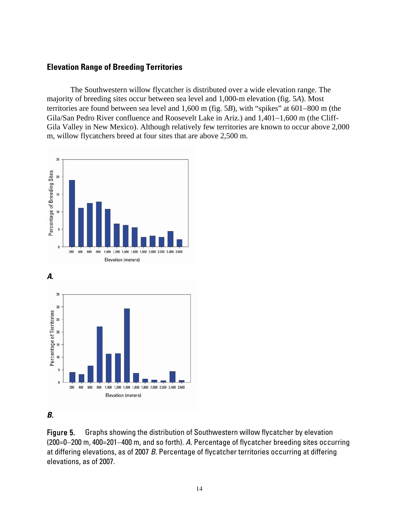#### <span id="page-17-0"></span>**Elevation Range of Breeding Territories**

The Southwestern willow flycatcher is distributed over a wide elevation range. The majority of breeding sites occur between sea level and 1,000-m elevation (fig. 5*A*). Most territories are found between sea level and 1,600 m (fig. 5*B*), with "spikes" at 601−800 m (the Gila/San Pedro River confluence and Roosevelt Lake in Ariz.) and 1,401−1,600 m (the Cliff-Gila Valley in New Mexico). Although relatively few territories are known to occur above 2,000 m, willow flycatchers breed at four sites that are above 2,500 m.





#### *B.*

Figure 5. Graphs showing the distribution of Southwestern willow flycatcher by elevation (200=0−200 m, 400=201−400 m, and so forth). *A.* Percentage of flycatcher breeding sites occurring at differing elevations, as of 2007 *B.* Percentage of flycatcher territories occurring at differing elevations, as of 2007.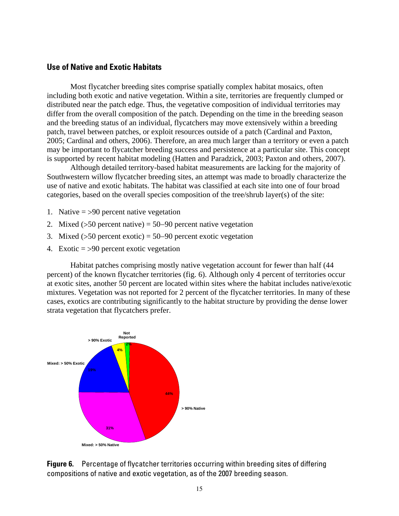#### <span id="page-18-0"></span>**Use of Native and Exotic Habitats**

Most flycatcher breeding sites comprise spatially complex habitat mosaics, often including both exotic and native vegetation. Within a site, territories are frequently clumped or distributed near the patch edge. Thus, the vegetative composition of individual territories may differ from the overall composition of the patch. Depending on the time in the breeding season and the breeding status of an individual, flycatchers may move extensively within a breeding patch, travel between patches, or exploit resources outside of a patch (Cardinal and Paxton, 2005; Cardinal and others, 2006). Therefore, an area much larger than a territory or even a patch may be important to flycatcher breeding success and persistence at a particular site. This concept is supported by recent habitat modeling (Hatten and Paradzick, 2003; Paxton and others, 2007).

Although detailed territory-based habitat measurements are lacking for the majority of Southwestern willow flycatcher breeding sites, an attempt was made to broadly characterize the use of native and exotic habitats. The habitat was classified at each site into one of four broad categories, based on the overall species composition of the tree/shrub layer(s) of the site:

- 1. Native  $=$  >90 percent native vegetation
- 2. Mixed (>50 percent native) = 50−90 percent native vegetation
- 3. Mixed (>50 percent exotic) = 50−90 percent exotic vegetation
- 4. Exotic = >90 percent exotic vegetation

Habitat patches comprising mostly native vegetation account for fewer than half (44 percent) of the known flycatcher territories (fig. 6). Although only 4 percent of territories occur at exotic sites, another 50 percent are located within sites where the habitat includes native/exotic mixtures. Vegetation was not reported for 2 percent of the flycatcher territories. In many of these cases, exotics are contributing significantly to the habitat structure by providing the dense lower strata vegetation that flycatchers prefer.



**Figure 6.** Percentage of flycatcher territories occurring within breeding sites of differing compositions of native and exotic vegetation, as of the 2007 breeding season.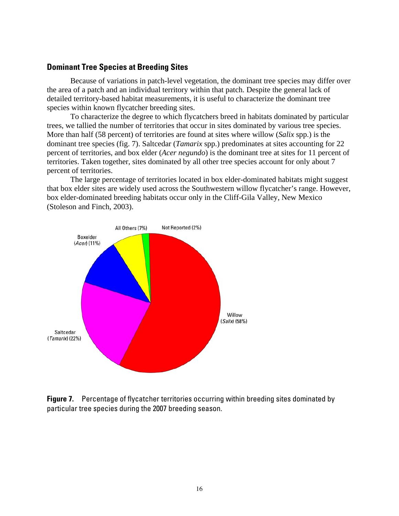#### <span id="page-19-0"></span>**Dominant Tree Species at Breeding Sites**

Because of variations in patch-level vegetation, the dominant tree species may differ over the area of a patch and an individual territory within that patch. Despite the general lack of detailed territory-based habitat measurements, it is useful to characterize the dominant tree species within known flycatcher breeding sites.

To characterize the degree to which flycatchers breed in habitats dominated by particular trees, we tallied the number of territories that occur in sites dominated by various tree species. More than half (58 percent) of territories are found at sites where willow (*Salix* spp.) is the dominant tree species (fig. 7). Saltcedar (*Tamarix* spp.) predominates at sites accounting for 22 percent of territories, and box elder (*Acer negundo*) is the dominant tree at sites for 11 percent of territories. Taken together, sites dominated by all other tree species account for only about 7 percent of territories.

The large percentage of territories located in box elder-dominated habitats might suggest that box elder sites are widely used across the Southwestern willow flycatcher's range. However, box elder-dominated breeding habitats occur only in the Cliff-Gila Valley, New Mexico (Stoleson and Finch, 2003).



**Figure 7.** Percentage of flycatcher territories occurring within breeding sites dominated by particular tree species during the 2007 breeding season.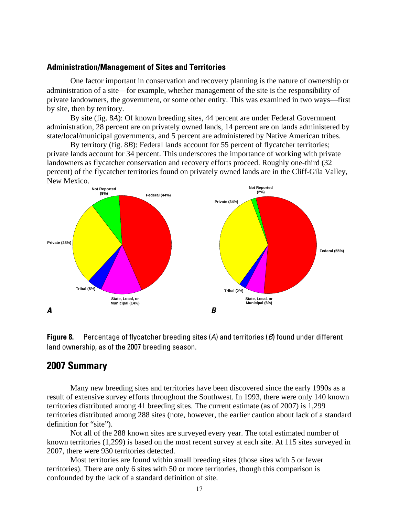#### <span id="page-20-0"></span>**Administration/Management of Sites and Territories**

One factor important in conservation and recovery planning is the nature of ownership or administration of a site—for example, whether management of the site is the responsibility of private landowners, the government, or some other entity. This was examined in two ways—first by site, then by territory.

By site (fig. 8*A*): Of known breeding sites, 44 percent are under Federal Government administration, 28 percent are on privately owned lands, 14 percent are on lands administered by state/local/municipal governments, and 5 percent are administered by Native American tribes.

By territory (fig. 8*B*): Federal lands account for 55 percent of flycatcher territories; private lands account for 34 percent. This underscores the importance of working with private landowners as flycatcher conservation and recovery efforts proceed. Roughly one-third (32 percent) of the flycatcher territories found on privately owned lands are in the Cliff-Gila Valley, New Mexico.



**Figure 8.** Percentage of flycatcher breeding sites (*A*) and territories (*B*) found under different land ownership, as of the 2007 breeding season.

### **2007 Summary**

Many new breeding sites and territories have been discovered since the early 1990s as a result of extensive survey efforts throughout the Southwest. In 1993, there were only 140 known territories distributed among 41 breeding sites. The current estimate (as of 2007) is 1,299 territories distributed among 288 sites (note, however, the earlier caution about lack of a standard definition for "site").

Not all of the 288 known sites are surveyed every year. The total estimated number of known territories (1,299) is based on the most recent survey at each site. At 115 sites surveyed in 2007, there were 930 territories detected.

Most territories are found within small breeding sites (those sites with 5 or fewer territories). There are only 6 sites with 50 or more territories, though this comparison is confounded by the lack of a standard definition of site.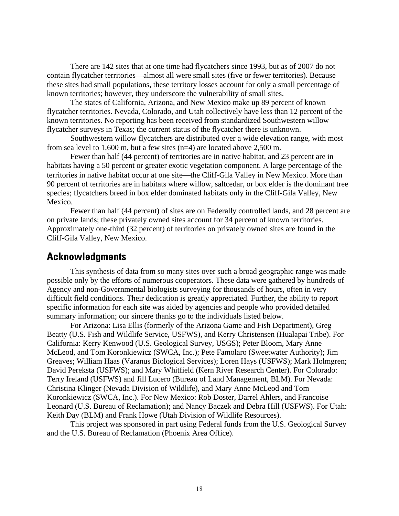<span id="page-21-0"></span>There are 142 sites that at one time had flycatchers since 1993, but as of 2007 do not contain flycatcher territories—almost all were small sites (five or fewer territories). Because these sites had small populations, these territory losses account for only a small percentage of known territories; however, they underscore the vulnerability of small sites.

The states of California, Arizona, and New Mexico make up 89 percent of known flycatcher territories. Nevada, Colorado, and Utah collectively have less than 12 percent of the known territories. No reporting has been received from standardized Southwestern willow flycatcher surveys in Texas; the current status of the flycatcher there is unknown.

Southwestern willow flycatchers are distributed over a wide elevation range, with most from sea level to 1,600 m, but a few sites (n=4) are located above 2,500 m.

Fewer than half (44 percent) of territories are in native habitat, and 23 percent are in habitats having a 50 percent or greater exotic vegetation component. A large percentage of the territories in native habitat occur at one site—the Cliff-Gila Valley in New Mexico. More than 90 percent of territories are in habitats where willow, saltcedar, or box elder is the dominant tree species; flycatchers breed in box elder dominated habitats only in the Cliff-Gila Valley, New Mexico.

Fewer than half (44 percent) of sites are on Federally controlled lands, and 28 percent are on private lands; these privately owned sites account for 34 percent of known territories. Approximately one-third (32 percent) of territories on privately owned sites are found in the Cliff-Gila Valley, New Mexico.

#### **Acknowledgments**

This synthesis of data from so many sites over such a broad geographic range was made possible only by the efforts of numerous cooperators. These data were gathered by hundreds of Agency and non-Governmental biologists surveying for thousands of hours, often in very difficult field conditions. Their dedication is greatly appreciated. Further, the ability to report specific information for each site was aided by agencies and people who provided detailed summary information; our sincere thanks go to the individuals listed below.

For Arizona: Lisa Ellis (formerly of the Arizona Game and Fish Department), Greg Beatty (U.S. Fish and Wildlife Service, USFWS), and Kerry Christensen (Hualapai Tribe). For California: Kerry Kenwood (U.S. Geological Survey, USGS); Peter Bloom, Mary Anne McLeod, and Tom Koronkiewicz (SWCA, Inc.); Pete Famolaro (Sweetwater Authority); Jim Greaves; William Haas (Varanus Biological Services); Loren Hays (USFWS); Mark Holmgren; David Pereksta (USFWS); and Mary Whitfield (Kern River Research Center). For Colorado: Terry Ireland (USFWS) and Jill Lucero (Bureau of Land Management, BLM). For Nevada: Christina Klinger (Nevada Division of Wildlife), and Mary Anne McLeod and Tom Koronkiewicz (SWCA, Inc.). For New Mexico: Rob Doster, Darrel Ahlers, and Francoise Leonard (U.S. Bureau of Reclamation); and Nancy Baczek and Debra Hill (USFWS). For Utah: Keith Day (BLM) and Frank Howe (Utah Division of Wildlife Resources).

This project was sponsored in part using Federal funds from the U.S. Geological Survey and the U.S. Bureau of Reclamation (Phoenix Area Office).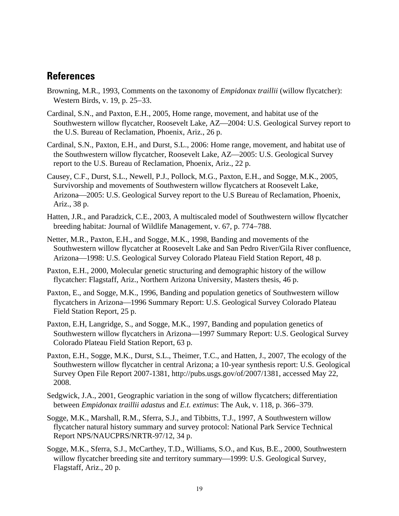### <span id="page-22-0"></span>**References**

- Browning, M.R., 1993, Comments on the taxonomy of *Empidonax traillii* (willow flycatcher): Western Birds, v. 19, p. 25−33.
- Cardinal, S.N., and Paxton, E.H., 2005, Home range, movement, and habitat use of the Southwestern willow flycatcher, Roosevelt Lake, AZ—2004: U.S. Geological Survey report to the U.S. Bureau of Reclamation, Phoenix, Ariz., 26 p.
- Cardinal, S.N., Paxton, E.H., and Durst, S.L., 2006: Home range, movement, and habitat use of the Southwestern willow flycatcher, Roosevelt Lake, AZ—2005: U.S. Geological Survey report to the U.S. Bureau of Reclamation, Phoenix, Ariz., 22 p.
- Causey, C.F., Durst, S.L., Newell, P.J., Pollock, M.G., Paxton, E.H., and Sogge, M.K., 2005, Survivorship and movements of Southwestern willow flycatchers at Roosevelt Lake, Arizona—2005: U.S. Geological Survey report to the U.S Bureau of Reclamation, Phoenix, Ariz., 38 p.
- Hatten, J.R., and Paradzick, C.E., 2003, A multiscaled model of Southwestern willow flycatcher breeding habitat: Journal of Wildlife Management, v. 67, p. 774−788.
- Netter, M.R., Paxton, E.H., and Sogge, M.K., 1998, Banding and movements of the Southwestern willow flycatcher at Roosevelt Lake and San Pedro River/Gila River confluence, Arizona-1998: U.S. Geological Survey Colorado Plateau Field Station Report, 48 p.
- Paxton, E.H., 2000, Molecular genetic structuring and demographic history of the willow flycatcher: Flagstaff, Ariz., Northern Arizona University, Masters thesis, 46 p.
- Paxton, E., and Sogge, M.K., 1996, Banding and population genetics of Southwestern willow flycatchers in Arizona⎯1996 Summary Report: U.S. Geological Survey Colorado Plateau Field Station Report, 25 p.
- Paxton, E.H, Langridge, S., and Sogge, M.K., 1997, Banding and population genetics of Southwestern willow flycatchers in Arizona—1997 Summary Report: U.S. Geological Survey Colorado Plateau Field Station Report, 63 p.
- Paxton, E.H., Sogge, M.K., Durst, S.L., Theimer, T.C., and Hatten, J., 2007, The ecology of the Southwestern willow flycatcher in central Arizona; a 10-year synthesis report: U.S. Geological Survey Open File Report 2007-1381, [http://pubs.usgs.gov/of/2007/1381,](http://pubs.usgs.gov/of/2007/1381) accessed May 22, 2008.
- Sedgwick, J.A., 2001, Geographic variation in the song of willow flycatchers; differentiation between *Empidonax traillii adastus* and *E.t. extimus*: The Auk, v. 118, p. 366−379.
- Sogge, M.K., Marshall, R.M., Sferra, S.J., and Tibbitts, T.J., 1997, A Southwestern willow flycatcher natural history summary and survey protocol: National Park Service Technical Report NPS/NAUCPRS/NRTR-97/12, 34 p.
- Sogge, M.K., Sferra, S.J., McCarthey, T.D., Williams, S.O., and Kus, B.E., 2000, Southwestern willow flycatcher breeding site and territory summary—1999: U.S. Geological Survey, Flagstaff, Ariz., 20 p.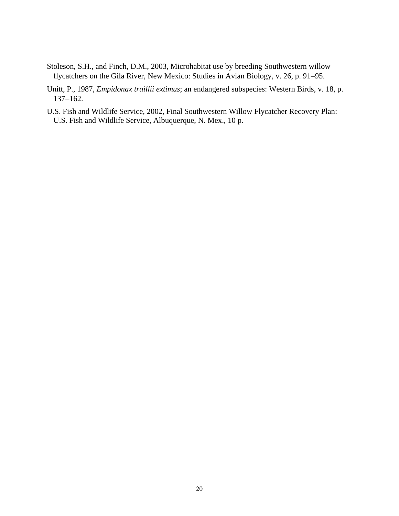- Stoleson, S.H., and Finch, D.M., 2003, Microhabitat use by breeding Southwestern willow flycatchers on the Gila River, New Mexico: Studies in Avian Biology, v. 26, p. 91−95.
- Unitt, P., 1987, *Empidonax traillii extimus*; an endangered subspecies: Western Birds, v. 18, p. 137−162.
- U.S. Fish and Wildlife Service, 2002, Final Southwestern Willow Flycatcher Recovery Plan: U.S. Fish and Wildlife Service, Albuquerque, N. Mex., 10 p.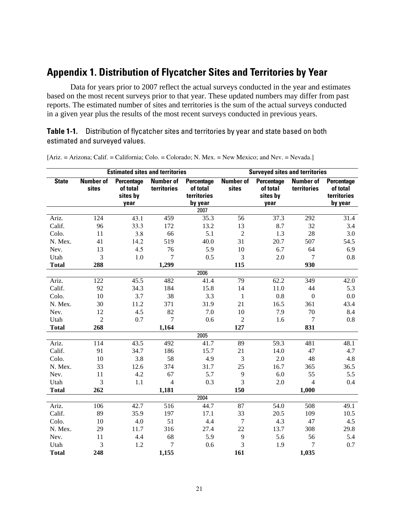## <span id="page-24-0"></span>**Appendix 1. Distribution of Flycatcher Sites and Territories by Year**

Data for years prior to 2007 reflect the actual surveys conducted in the year and estimates based on the most recent surveys prior to that year. These updated numbers may differ from past reports. The estimated number of sites and territories is the sum of the actual surveys conducted in a given year plus the results of the most recent surveys conducted in previous years.

**Table 1-1.** Distribution of flycatcher sites and territories by year and state based on both estimated and surveyed values.

| <b>Estimated sites and territories</b> |                           |                                            |                                 |                                                  | <b>Surveyed sites and territories</b> |                                            |                                 |                                                         |
|----------------------------------------|---------------------------|--------------------------------------------|---------------------------------|--------------------------------------------------|---------------------------------------|--------------------------------------------|---------------------------------|---------------------------------------------------------|
| <b>State</b>                           | <b>Number of</b><br>sites | Percentage<br>of total<br>sites by<br>year | <b>Number of</b><br>territories | Percentage<br>of total<br>territories<br>by year | <b>Number of</b><br>sites             | Percentage<br>of total<br>sites by<br>year | <b>Number of</b><br>territories | <b>Percentage</b><br>of total<br>territories<br>by year |
|                                        |                           |                                            |                                 | 2007                                             |                                       |                                            |                                 |                                                         |
| Ariz.                                  | 124                       | 43.1                                       | 459                             | 35.3                                             | 56                                    | 37.3                                       | 292                             | 31.4                                                    |
| Calif.                                 | 96                        | 33.3                                       | 172                             | 13.2                                             | 13                                    | 8.7                                        | 32                              | 3.4                                                     |
| Colo.                                  | 11                        | 3.8                                        | 66                              | 5.1                                              | $\overline{2}$                        | 1.3                                        | 28                              | 3.0                                                     |
| N. Mex.                                | 41                        | 14.2                                       | 519                             | 40.0                                             | 31                                    | 20.7                                       | 507                             | 54.5                                                    |
| Nev.                                   | 13                        | 4.5                                        | 76                              | 5.9                                              | 10                                    | 6.7                                        | 64                              | 6.9                                                     |
| Utah                                   | 3                         | 1.0                                        | $\overline{7}$                  | 0.5                                              | 3                                     | 2.0                                        | 7                               | $0.8\,$                                                 |
| <b>Total</b>                           | 288                       |                                            | 1,299                           |                                                  | 115                                   |                                            | 930                             |                                                         |
|                                        |                           |                                            |                                 | 2006                                             |                                       |                                            |                                 |                                                         |
| Ariz.                                  | 122                       | 45.5                                       | 482                             | 41.4                                             | 79                                    | 62.2                                       | 349                             | 42.0                                                    |
| Calif.                                 | 92                        | 34.3                                       | 184                             | 15.8                                             | 14                                    | 11.0                                       | 44                              | 5.3                                                     |
| Colo.                                  | 10                        | 3.7                                        | 38                              | 3.3                                              | $\mathbf{1}$                          | 0.8                                        | $\boldsymbol{0}$                | 0.0                                                     |
| N. Mex.                                | 30                        | 11.2                                       | 371                             | 31.9                                             | 21                                    | 16.5                                       | 361                             | 43.4                                                    |
| Nev.                                   | 12                        | 4.5                                        | 82                              | 7.0                                              | 10                                    | 7.9                                        | 70                              | $8.4\,$                                                 |
| Utah                                   | $\overline{2}$            | 0.7                                        | $\overline{7}$                  | 0.6                                              | $\overline{2}$                        | 1.6                                        | $\tau$                          | $0.8\,$                                                 |
| <b>Total</b>                           | 268                       |                                            | 1,164                           |                                                  | 127                                   |                                            | 831                             |                                                         |
|                                        |                           |                                            |                                 | 2005                                             |                                       |                                            |                                 |                                                         |
| Ariz.                                  | 114                       | 43.5                                       | 492                             | 41.7                                             | 89                                    | 59.3                                       | 481                             | 48.1                                                    |
| Calif.                                 | 91                        | 34.7                                       | 186                             | 15.7                                             | 21                                    | 14.0                                       | 47                              | 4.7                                                     |
| Colo.                                  | 10                        | 3.8                                        | 58                              | 4.9                                              | 3                                     | 2.0                                        | 48                              | 4.8                                                     |
| N. Mex.                                | 33                        | 12.6                                       | 374                             | 31.7                                             | 25                                    | 16.7                                       | 365                             | 36.5                                                    |
| Nev.                                   | 11                        | 4.2                                        | 67                              | 5.7                                              | 9                                     | 6.0                                        | 55                              | 5.5                                                     |
| Utah                                   | 3                         | 1.1                                        | $\overline{4}$                  | 0.3                                              | 3                                     | 2.0                                        | $\overline{4}$                  | 0.4                                                     |
| <b>Total</b>                           | 262                       |                                            | 1,181                           |                                                  | 150                                   |                                            | 1,000                           |                                                         |
|                                        |                           |                                            |                                 | 2004                                             |                                       |                                            |                                 |                                                         |
| Ariz.                                  | 106                       | 42.7                                       | 516                             | 44.7                                             | 87                                    | 54.0                                       | 508                             | 49.1                                                    |
| Calif.                                 | 89                        | 35.9                                       | 197                             | 17.1                                             | 33                                    | 20.5                                       | 109                             | 10.5                                                    |
| Colo.                                  | 10                        | 4.0                                        | 51                              | 4.4                                              | $\tau$                                | 4.3                                        | 47                              | 4.5                                                     |
| N. Mex.                                | 29                        | 11.7                                       | 316                             | 27.4                                             | 22                                    | 13.7                                       | 308                             | 29.8                                                    |
| Nev.                                   | 11                        | 4.4                                        | 68                              | 5.9                                              | $\overline{9}$                        | 5.6                                        | 56                              | 5.4                                                     |
| Utah                                   | 3                         | 1.2                                        | $\overline{7}$                  | 0.6                                              | 3                                     | 1.9                                        | 7                               | 0.7                                                     |
| <b>Total</b>                           | 248                       |                                            | 1,155                           |                                                  | 161                                   |                                            | 1,035                           |                                                         |

[Ariz. = Arizona; Calif. = California; Colo. = Colorado; N. Mex. = New Mexico; and Nev. = Nevada.]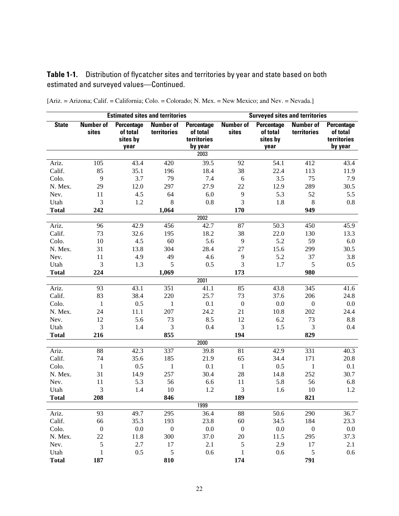**Table 1-1.** Distribution of flycatcher sites and territories by year and state based on both estimated and surveyed values—Continued.

| <b>Estimated sites and territories</b> |                           |                                            |                                 | <b>Surveyed sites and territories</b>                   |                           |                                                   |                                 |                                                         |
|----------------------------------------|---------------------------|--------------------------------------------|---------------------------------|---------------------------------------------------------|---------------------------|---------------------------------------------------|---------------------------------|---------------------------------------------------------|
| <b>State</b>                           | <b>Number of</b><br>sites | Percentage<br>of total<br>sites by<br>year | <b>Number of</b><br>territories | <b>Percentage</b><br>of total<br>territories<br>by year | <b>Number of</b><br>sites | <b>Percentage</b><br>of total<br>sites by<br>year | <b>Number of</b><br>territories | <b>Percentage</b><br>of total<br>territories<br>by year |
|                                        |                           |                                            |                                 | 2003                                                    |                           |                                                   |                                 |                                                         |
| Ariz.                                  | 105                       | 43.4                                       | 420                             | 39.5                                                    | 92                        | 54.1                                              | 412                             | 43.4                                                    |
| Calif.                                 | 85                        | 35.1                                       | 196                             | 18.4                                                    | 38                        | 22.4                                              | 113                             | 11.9                                                    |
| Colo.                                  | 9                         | 3.7                                        | 79                              | 7.4                                                     | 6                         | 3.5                                               | 75                              | 7.9                                                     |
| N. Mex.                                | 29                        | 12.0                                       | 297                             | 27.9                                                    | 22                        | 12.9                                              | 289                             | 30.5                                                    |
| Nev.                                   | 11                        | 4.5                                        | 64                              | 6.0                                                     | 9                         | 5.3                                               | 52                              | 5.5                                                     |
| Utah                                   | 3                         | 1.2                                        | 8                               | 0.8                                                     | 3                         | 1.8                                               | 8                               | 0.8                                                     |
| <b>Total</b>                           | 242                       |                                            | 1,064                           |                                                         | 170                       |                                                   | 949                             |                                                         |
|                                        |                           |                                            |                                 | 2002                                                    |                           |                                                   |                                 |                                                         |
| Ariz.                                  | 96                        | 42.9                                       | 456                             | 42.7                                                    | 87                        | 50.3                                              | 450                             | 45.9                                                    |
| Calif.                                 | 73                        | 32.6                                       | 195                             | 18.2                                                    | 38                        | 22.0                                              | 130                             | 13.3                                                    |
| Colo.                                  | 10                        | 4.5                                        | 60                              | 5.6                                                     | 9                         | 5.2                                               | 59                              | 6.0                                                     |
| N. Mex.                                | 31                        | 13.8                                       | 304                             | 28.4                                                    | 27                        | 15.6                                              | 299                             | 30.5                                                    |
| Nev.                                   | 11                        | 4.9                                        | 49                              | 4.6                                                     | 9                         | 5.2                                               | 37                              | 3.8                                                     |
| Utah                                   | 3                         | 1.3                                        | 5                               | 0.5                                                     | 3                         | 1.7                                               | 5                               | 0.5                                                     |
| <b>Total</b>                           | 224                       |                                            | 1,069                           |                                                         | 173                       |                                                   | 980                             |                                                         |
|                                        |                           |                                            |                                 | 2001                                                    |                           |                                                   |                                 |                                                         |
| Ariz.                                  | 93                        | 43.1                                       | 351                             | 41.1                                                    | 85                        | 43.8                                              | 345                             | 41.6                                                    |
| Calif.                                 | 83                        | 38.4                                       | 220                             | 25.7                                                    | 73                        | 37.6                                              | 206                             | 24.8                                                    |
| Colo.                                  | 1                         | 0.5                                        | $\mathbf{1}$                    | 0.1                                                     | $\boldsymbol{0}$          | 0.0                                               | $\boldsymbol{0}$                | 0.0                                                     |
| N. Mex.                                | 24                        | 11.1                                       | 207                             | 24.2                                                    | 21                        | 10.8                                              | 202                             | 24.4                                                    |
| Nev.                                   | 12                        | 5.6                                        | 73                              | 8.5                                                     | 12                        | 6.2                                               | 73                              | 8.8                                                     |
| Utah                                   | 3                         | 1.4                                        | $\mathfrak{Z}$                  | 0.4                                                     | 3                         | 1.5                                               | 3                               | 0.4                                                     |
| <b>Total</b>                           | 216                       |                                            | 855                             |                                                         | 194                       |                                                   | 829                             |                                                         |
|                                        |                           |                                            |                                 | 2000                                                    |                           |                                                   |                                 |                                                         |
| Ariz.                                  | 88                        | 42.3                                       | 337                             | 39.8                                                    | 81                        | 42.9                                              | 331                             | 40.3                                                    |
| Calif.                                 | 74                        | 35.6                                       | 185                             | 21.9                                                    | 65                        | 34.4                                              | 171                             | 20.8                                                    |
| Colo.                                  | $\mathbf{1}$              | 0.5                                        | $\mathbf{1}$                    | 0.1                                                     | $\mathbf{1}$              | 0.5                                               | $\mathbf{1}$                    | 0.1                                                     |
| N. Mex.                                | 31                        | 14.9                                       | 257                             | 30.4                                                    | 28                        | 14.8                                              | 252                             | 30.7                                                    |
| Nev.                                   | 11                        | 5.3                                        | 56                              | 6.6                                                     | 11                        | 5.8                                               | 56                              | 6.8                                                     |
| Utah                                   | 3                         | 1.4                                        | 10                              | 1.2                                                     | 3                         | 1.6                                               | 10                              | 1.2                                                     |
| <b>Total</b>                           | 208                       |                                            | 846                             |                                                         | 189                       |                                                   | 821                             |                                                         |
|                                        |                           |                                            |                                 | 1999                                                    |                           |                                                   |                                 |                                                         |
| Ariz.                                  | 93                        | 49.7                                       | 295                             | 36.4                                                    | 88                        | 50.6                                              | 290                             | 36.7                                                    |
| Calif.                                 | 66                        | 35.3                                       | 193                             | 23.8                                                    | 60                        | 34.5                                              | 184                             | 23.3                                                    |
| Colo.                                  | $\boldsymbol{0}$          | $0.0\,$                                    | $\boldsymbol{0}$                | $0.0\,$                                                 | $\boldsymbol{0}$          | $0.0\,$                                           | $\boldsymbol{0}$                | 0.0                                                     |
| N. Mex.                                | 22                        | 11.8                                       | 300                             | 37.0                                                    | $20\,$                    | 11.5                                              | 295                             | 37.3                                                    |
| Nev.                                   | $\mathfrak s$             | 2.7                                        | 17                              | 2.1                                                     | 5                         | 2.9                                               | 17                              | 2.1                                                     |
| Utah                                   | $\mathbf{1}$              | 0.5                                        | $\sqrt{5}$                      | $0.6\,$                                                 | 1                         | 0.6                                               | $\sqrt{5}$                      | 0.6                                                     |
| <b>Total</b>                           | 187                       |                                            | 810                             |                                                         | 174                       |                                                   | 791                             |                                                         |

[Ariz. = Arizona; Calif. = California; Colo. = Colorado; N. Mex. = New Mexico; and Nev. = Nevada.]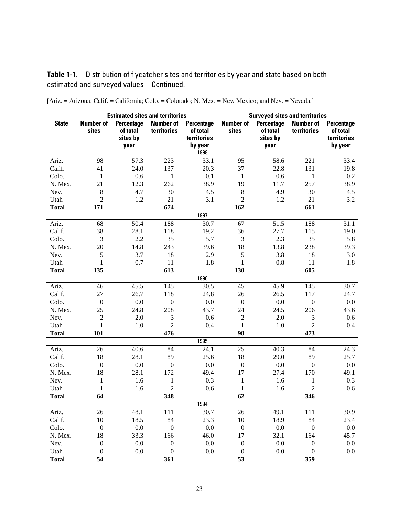**Table 1-1.** Distribution of flycatcher sites and territories by year and state based on both estimated and surveyed values—Continued.

|              | <b>Estimated sites and territories</b> |                                           |                                 |                                       | <b>Surveyed sites and territories</b> |                                           |                                 |                                              |
|--------------|----------------------------------------|-------------------------------------------|---------------------------------|---------------------------------------|---------------------------------------|-------------------------------------------|---------------------------------|----------------------------------------------|
| <b>State</b> | <b>Number of</b><br>sites              | <b>Percentage</b><br>of total<br>sites by | <b>Number of</b><br>territories | Percentage<br>of total<br>territories | <b>Number of</b><br>sites             | <b>Percentage</b><br>of total<br>sites by | <b>Number of</b><br>territories | <b>Percentage</b><br>of total<br>territories |
|              |                                        | year                                      |                                 | by year                               |                                       | year                                      |                                 | by year                                      |
|              |                                        |                                           |                                 | 1998                                  |                                       |                                           |                                 |                                              |
| Ariz.        | 98                                     | 57.3                                      | 223                             | 33.1                                  | 95                                    | 58.6                                      | 221                             | 33.4                                         |
| Calif.       | 41                                     | 24.0                                      | 137                             | 20.3                                  | 37                                    | 22.8                                      | 131                             | 19.8                                         |
| Colo.        | $\mathbf{1}$                           | 0.6                                       | $\mathbf{1}$                    | 0.1                                   | 1                                     | 0.6                                       | $\mathbf{1}$                    | 0.2                                          |
| N. Mex.      | 21                                     | 12.3                                      | 262                             | 38.9                                  | 19                                    | 11.7                                      | 257                             | 38.9                                         |
| Nev.         | $\,8\,$                                | 4.7                                       | 30                              | 4.5                                   | $\,8\,$                               | 4.9                                       | 30                              | 4.5                                          |
| Utah         | $\overline{2}$                         | 1.2                                       | 21                              | 3.1                                   | $\overline{2}$                        | 1.2                                       | 21                              | 3.2                                          |
| <b>Total</b> | 171                                    |                                           | 674                             |                                       | 162                                   |                                           | 661                             |                                              |
|              |                                        |                                           |                                 | 1997                                  |                                       |                                           |                                 |                                              |
| Ariz.        | 68                                     | 50.4                                      | 188                             | 30.7                                  | 67                                    | 51.5                                      | 188                             | 31.1                                         |
| Calif.       | 38                                     | 28.1                                      | 118                             | 19.2                                  | 36                                    | 27.7                                      | 115                             | 19.0                                         |
| Colo.        | $\mathfrak 3$                          | 2.2                                       | 35                              | 5.7                                   | $\mathfrak{Z}$                        | 2.3                                       | 35                              | 5.8                                          |
| N. Mex.      | 20                                     | 14.8                                      | 243                             | 39.6                                  | 18                                    | 13.8                                      | 238                             | 39.3                                         |
| Nev.         | $\sqrt{5}$                             | 3.7                                       | 18                              | 2.9                                   | $\sqrt{5}$                            | 3.8                                       | 18                              | 3.0                                          |
| Utah         | 1                                      | 0.7                                       | $11\,$                          | 1.8                                   | $\mathbf{1}$                          | 0.8                                       | 11                              | 1.8                                          |
| <b>Total</b> | 135                                    |                                           | 613                             |                                       | 130                                   |                                           | 605                             |                                              |
|              |                                        |                                           |                                 | 1996                                  |                                       |                                           |                                 |                                              |
| Ariz.        | 46                                     | 45.5                                      | 145                             | 30.5                                  | 45                                    | 45.9                                      | 145                             | 30.7                                         |
| Calif.       | 27                                     | 26.7                                      | 118                             | 24.8                                  | 26                                    | 26.5                                      | 117                             | 24.7                                         |
| Colo.        | $\boldsymbol{0}$                       | 0.0                                       | $\boldsymbol{0}$                | 0.0                                   | $\boldsymbol{0}$                      | 0.0                                       | $\boldsymbol{0}$                | $0.0\,$                                      |
| N. Mex.      | 25                                     | 24.8                                      | 208                             | 43.7                                  | 24                                    | 24.5                                      | 206                             | 43.6                                         |
| Nev.         | $\sqrt{2}$                             | 2.0                                       | $\ensuremath{\mathfrak{Z}}$     | 0.6                                   | $\overline{2}$                        | 2.0                                       | $\mathfrak{Z}$                  | 0.6                                          |
| Utah         | 1                                      | 1.0                                       | $\overline{2}$                  | 0.4                                   | $\mathbf{1}$                          | 1.0                                       | $\overline{2}$                  | 0.4                                          |
| <b>Total</b> | 101                                    |                                           | 476                             |                                       | 98                                    |                                           | 473                             |                                              |
|              |                                        |                                           |                                 | 1995                                  |                                       |                                           |                                 |                                              |
| Ariz.        | 26                                     | 40.6                                      | 84                              | 24.1                                  | 25                                    | 40.3                                      | 84                              | 24.3                                         |
| Calif.       | 18                                     | 28.1                                      | 89                              | 25.6                                  | 18                                    | 29.0                                      | 89                              | 25.7                                         |
| Colo.        | $\boldsymbol{0}$                       | 0.0                                       | $\boldsymbol{0}$                | 0.0                                   | $\boldsymbol{0}$                      | 0.0                                       | $\boldsymbol{0}$                | 0.0                                          |
| N. Mex.      | 18                                     | 28.1                                      | 172                             | 49.4                                  | 17                                    | 27.4                                      | 170                             | 49.1                                         |
| Nev.         | $\mathbf{1}$                           | 1.6                                       | $\mathbf{1}$                    | 0.3                                   | $\mathbf{1}$                          | 1.6                                       | $\mathbf{1}$                    | 0.3                                          |
| Utah         | 1                                      | 1.6                                       | $\overline{2}$                  | 0.6                                   | $\mathbf{1}$                          | 1.6                                       | $\sqrt{2}$                      | 0.6                                          |
| <b>Total</b> | 64                                     |                                           | 348                             |                                       | 62                                    |                                           | 346                             |                                              |
|              |                                        |                                           |                                 | 1994                                  |                                       |                                           |                                 |                                              |
| Ariz.        | 26                                     | 48.1                                      | 111                             | 30.7                                  | $26\,$                                | 49.1                                      | 111                             | 30.9                                         |
| Calif.       | $10\,$                                 | 18.5                                      | 84                              | 23.3                                  | $10\,$                                | 18.9                                      | 84                              | 23.4                                         |
| Colo.        | $\boldsymbol{0}$                       | $0.0\,$                                   | $\boldsymbol{0}$                | $0.0\,$                               | $\boldsymbol{0}$                      | 0.0                                       | $\boldsymbol{0}$                | $0.0\,$                                      |
| N. Mex.      | 18                                     | 33.3                                      | 166                             | 46.0                                  | 17                                    | 32.1                                      | 164                             | 45.7                                         |
| Nev.         | $\boldsymbol{0}$                       | 0.0                                       | $\boldsymbol{0}$                | $0.0\,$                               | $\boldsymbol{0}$                      | 0.0                                       | $\boldsymbol{0}$                | 0.0                                          |
| Utah         | $\boldsymbol{0}$                       | $0.0\,$                                   | $\boldsymbol{0}$                | 0.0                                   | $\boldsymbol{0}$                      | 0.0                                       | $\boldsymbol{0}$                | 0.0                                          |
| <b>Total</b> | 54                                     |                                           | 361                             |                                       | 53                                    |                                           | 359                             |                                              |

[Ariz. = Arizona; Calif. = California; Colo. = Colorado; N. Mex. = New Mexico; and Nev. = Nevada.]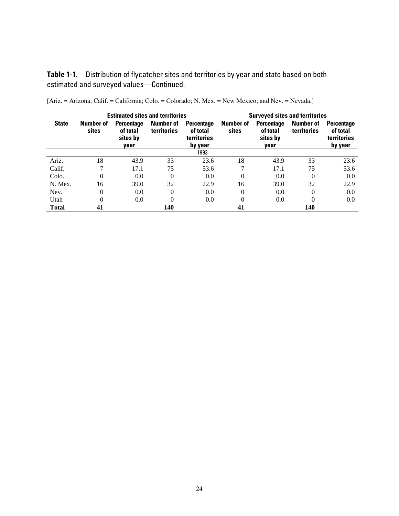**Table 1-1.** Distribution of flycatcher sites and territories by year and state based on both estimated and surveyed values—Continued.

| <b>Estimated sites and territories</b> |                    |                                                   |                                 |                                                                | <b>Surveyed sites and territories</b> |                                            |                                 |                                                         |  |
|----------------------------------------|--------------------|---------------------------------------------------|---------------------------------|----------------------------------------------------------------|---------------------------------------|--------------------------------------------|---------------------------------|---------------------------------------------------------|--|
| <b>State</b>                           | Number of<br>sites | <b>Percentage</b><br>of total<br>sites by<br>vear | <b>Number of</b><br>territories | <b>Percentage</b><br>of total<br><b>territories</b><br>by year | <b>Number of</b><br>sites             | Percentage<br>of total<br>sites by<br>year | <b>Number of</b><br>territories | Percentage<br>of total<br><b>territories</b><br>by year |  |
|                                        |                    |                                                   |                                 | 1993                                                           |                                       |                                            |                                 |                                                         |  |
| Ariz.                                  | 18                 | 43.9                                              | 33                              | 23.6                                                           | 18                                    | 43.9                                       | 33                              | 23.6                                                    |  |
| Calif.                                 |                    | 17.1                                              | 75                              | 53.6                                                           |                                       | 17.1                                       | 75                              | 53.6                                                    |  |
| Colo.                                  | 0                  | 0.0                                               | $\theta$                        | 0.0                                                            | $\Omega$                              | 0.0                                        | $\Omega$                        | 0.0                                                     |  |
| N. Mex.                                | 16                 | 39.0                                              | 32                              | 22.9                                                           | 16                                    | 39.0                                       | 32                              | 22.9                                                    |  |
| Nev.                                   | 0                  | 0.0                                               | $\Omega$                        | 0.0                                                            | $\Omega$                              | 0.0                                        | $\Omega$                        | 0.0                                                     |  |
| Utah                                   | 0                  | 0.0                                               | 0                               | 0.0                                                            | $\Omega$                              | 0.0                                        | $\Omega$                        | 0.0                                                     |  |
| <b>Total</b>                           | 41                 |                                                   | 140                             |                                                                | 41                                    |                                            | 140                             |                                                         |  |

[Ariz. = Arizona; Calif. = California; Colo. = Colorado; N. Mex. = New Mexico; and Nev. = Nevada.]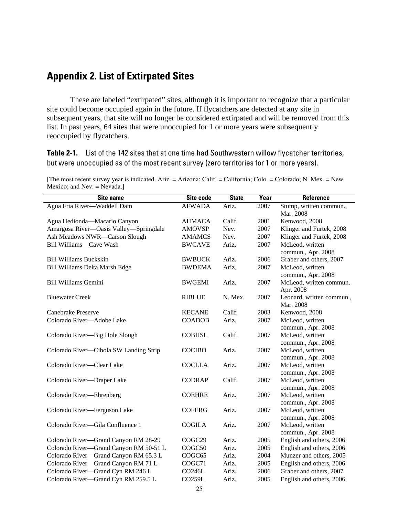## <span id="page-28-0"></span>**Appendix 2. List of Extirpated Sites**

These are labeled "extirpated" sites, although it is important to recognize that a particular site could become occupied again in the future. If flycatchers are detected at any site in subsequent years, that site will no longer be considered extirpated and will be removed from this list. In past years, 64 sites that were unoccupied for 1 or more years were subsequently reoccupied by flycatchers.

**Table 2-1.** List of the 142 sites that at one time had Southwestern willow flycatcher territories, but were unoccupied as of the most recent survey (zero territories for 1 or more years).

| Site name                              | Site code          | <b>State</b> | Year | Reference                             |
|----------------------------------------|--------------------|--------------|------|---------------------------------------|
| Agua Fria River-Waddell Dam            | <b>AFWADA</b>      | Ariz.        | 2007 | Stump, written commun.,               |
|                                        |                    |              |      | Mar. 2008                             |
| Agua Hedionda-Macario Canyon           | <b>AHMACA</b>      | Calif.       | 2001 | Kenwood, 2008                         |
| Amargosa River-Oasis Valley-Springdale | <b>AMOVSP</b>      | Nev.         | 2007 | Klinger and Furtek, 2008              |
| Ash Meadows NWR-Carson Slough          | <b>AMAMCS</b>      | Nev.         | 2007 | Klinger and Furtek, 2008              |
| Bill Williams-Cave Wash                | <b>BWCAVE</b>      | Ariz.        | 2007 | McLeod, written                       |
|                                        |                    |              |      | commun., Apr. 2008                    |
| <b>Bill Williams Buckskin</b>          | <b>BWBUCK</b>      | Ariz.        | 2006 | Graber and others, 2007               |
| Bill Williams Delta Marsh Edge         | <b>BWDEMA</b>      | Ariz.        | 2007 | McLeod, written                       |
|                                        |                    |              |      | commun., Apr. 2008                    |
| <b>Bill Williams Gemini</b>            | <b>BWGEMI</b>      | Ariz.        | 2007 | McLeod, written commun.               |
|                                        |                    |              |      | Apr. 2008                             |
| <b>Bluewater Creek</b>                 | <b>RIBLUE</b>      | N. Mex.      | 2007 | Leonard, written commun.,             |
|                                        |                    |              |      | Mar. 2008                             |
| Canebrake Preserve                     | <b>KECANE</b>      | Calif.       | 2003 | Kenwood, 2008                         |
| Colorado River-Adobe Lake              | <b>COADOB</b>      | Ariz.        | 2007 | McLeod, written                       |
|                                        |                    |              |      | commun., Apr. 2008                    |
| Colorado River-Big Hole Slough         | <b>COBHSL</b>      | Calif.       | 2007 | McLeod, written                       |
|                                        |                    |              |      | commun., Apr. 2008                    |
| Colorado River-Cibola SW Landing Strip | <b>COCIBO</b>      | Ariz.        | 2007 | McLeod, written                       |
| Colorado River-Clear Lake              | <b>COCLLA</b>      |              |      | commun., Apr. 2008                    |
|                                        |                    | Ariz.        | 2007 | McLeod, written                       |
| Colorado River-Draper Lake             | <b>CODRAP</b>      | Calif.       | 2007 | commun., Apr. 2008<br>McLeod, written |
|                                        |                    |              |      | commun., Apr. 2008                    |
| Colorado River-Ehrenberg               | <b>COEHRE</b>      | Ariz.        | 2007 | McLeod, written                       |
|                                        |                    |              |      | commun., Apr. 2008                    |
| Colorado River-Ferguson Lake           | <b>COFERG</b>      | Ariz.        | 2007 | McLeod, written                       |
|                                        |                    |              |      | commun., Apr. 2008                    |
| Colorado River-Gila Confluence 1       | <b>COGILA</b>      | Ariz.        | 2007 | McLeod, written                       |
|                                        |                    |              |      | commun., Apr. 2008                    |
| Colorado River-Grand Canyon RM 28-29   | COGC <sub>29</sub> | Ariz.        | 2005 | English and others, 2006              |
| Colorado River-Grand Canyon RM 50-51 L | COGC50             | Ariz.        | 2005 | English and others, 2006              |
| Colorado River-Grand Canyon RM 65.3 L  | COGC65             | Ariz.        | 2004 | Munzer and others, 2005               |
| Colorado River-Grand Canyon RM 71 L    | COGC71             | Ariz.        | 2005 | English and others, 2006              |
| Colorado River-Grand Cyn RM 246 L      | <b>CO246L</b>      | Ariz.        | 2006 | Graber and others, 2007               |
| Colorado River-Grand Cyn RM 259.5 L    | CO259L             | Ariz.        | 2005 | English and others, 2006              |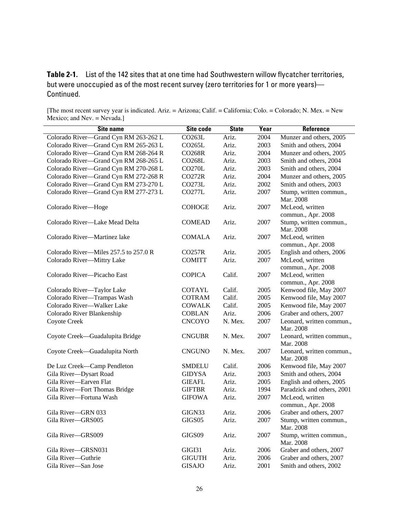| <b>Site name</b>                      | Site code           | <b>State</b> | Year | Reference                              |
|---------------------------------------|---------------------|--------------|------|----------------------------------------|
| Colorado River-Grand Cyn RM 263-262 L | CO263L              | Ariz.        | 2004 | Munzer and others, 2005                |
| Colorado River-Grand Cyn RM 265-263 L | CO265L              | Ariz.        | 2003 | Smith and others, 2004                 |
| Colorado River-Grand Cyn RM 268-264 R | <b>CO268R</b>       | Ariz.        | 2004 | Munzer and others, 2005                |
| Colorado River-Grand Cyn RM 268-265 L | CO <sub>268</sub> L | Ariz.        | 2003 | Smith and others, 2004                 |
| Colorado River-Grand Cyn RM 270-268 L | <b>CO270L</b>       | Ariz.        | 2003 | Smith and others, 2004                 |
| Colorado River-Grand Cyn RM 272-268 R | CO272R              | Ariz.        | 2004 | Munzer and others, 2005                |
| Colorado River-Grand Cyn RM 273-270 L | CO273L              | Ariz.        | 2002 | Smith and others, 2003                 |
| Colorado River-Grand Cyn RM 277-273 L | <b>CO277L</b>       | Ariz.        | 2007 | Stump, written commun.,<br>Mar. 2008   |
| Colorado River-Hoge                   | <b>COHOGE</b>       | Ariz.        | 2007 | McLeod, written<br>commun., Apr. 2008  |
| Colorado River—Lake Mead Delta        | <b>COMEAD</b>       | Ariz.        | 2007 | Stump, written commun.,<br>Mar. 2008   |
| Colorado River-Martinez lake          | <b>COMALA</b>       | Ariz.        | 2007 | McLeod, written<br>commun., Apr. 2008  |
| Colorado River-Miles 257.5 to 257.0 R | CO257R              | Ariz.        | 2005 | English and others, 2006               |
| Colorado River-Mittry Lake            | <b>COMITT</b>       | Ariz.        | 2007 | McLeod, written<br>commun., Apr. 2008  |
| Colorado River-Picacho East           | <b>COPICA</b>       | Calif.       | 2007 | McLeod, written<br>commun., Apr. 2008  |
| Colorado River-Taylor Lake            | <b>COTAYL</b>       | Calif.       | 2005 | Kenwood file, May 2007                 |
| Colorado River-Trampas Wash           | <b>COTRAM</b>       | Calif.       | 2005 | Kenwood file, May 2007                 |
| Colorado River-Walker Lake            | <b>COWALK</b>       | Calif.       | 2005 | Kenwood file, May 2007                 |
| Colorado River Blankenship            | <b>COBLAN</b>       | Ariz.        | 2006 | Graber and others, 2007                |
| Coyote Creek                          | <b>CNCOYO</b>       | N. Mex.      | 2007 | Leonard, written commun.,<br>Mar. 2008 |
| Coyote Creek—Guadalupita Bridge       | <b>CNGUBR</b>       | N. Mex.      | 2007 | Leonard, written commun.,<br>Mar. 2008 |
| Coyote Creek-Guadalupita North        | <b>CNGUNO</b>       | N. Mex.      | 2007 | Leonard, written commun.,<br>Mar. 2008 |
| De Luz Creek-Camp Pendleton           | <b>SMDELU</b>       | Calif.       | 2006 | Kenwood file, May 2007                 |
| Gila River-Dysart Road                | <b>GIDYSA</b>       | Ariz.        | 2003 | Smith and others, 2004                 |
| Gila River-Earven Flat                | <b>GIEAFL</b>       | Ariz.        | 2005 | English and others, 2005               |
| Gila River-Fort Thomas Bridge         | <b>GIFTBR</b>       | Ariz.        | 1994 | Paradzick and others, 2001             |
| Gila River-Fortuna Wash               | <b>GIFOWA</b>       | Ariz.        | 2007 | McLeod, written<br>commun., Apr. 2008  |
| Gila River-GRN 033                    | GIGN33              | Ariz.        | 2006 | Graber and others, 2007                |
| Gila River-GRS005                     | GIGS05              | Ariz.        | 2007 | Stump, written commun.,<br>Mar. 2008   |
| Gila River-GRS009                     | GIGS09              | Ariz.        | 2007 | Stump, written commun.,<br>Mar. 2008   |
| Gila River-GRSN031                    | GIGI31              | Ariz.        | 2006 | Graber and others, 2007                |
| Gila River-Guthrie                    | <b>GIGUTH</b>       | Ariz.        | 2006 | Graber and others, 2007                |
| Gila River-San Jose                   | <b>GISAJO</b>       | Ariz.        | 2001 | Smith and others, 2002                 |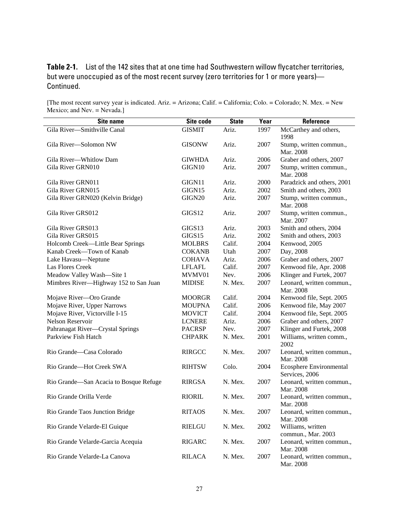| <b>Site name</b>                       | Site code     | <b>State</b> | Year | Reference                                 |
|----------------------------------------|---------------|--------------|------|-------------------------------------------|
| Gila River-Smithville Canal            | <b>GISMIT</b> | Ariz.        | 1997 | McCarthey and others,<br>1998             |
| Gila River-Solomon NW                  | <b>GISONW</b> | Ariz.        | 2007 | Stump, written commun.,<br>Mar. 2008      |
| Gila River-Whitlow Dam                 | <b>GIWHDA</b> | Ariz.        | 2006 | Graber and others, 2007                   |
| Gila River GRN010                      | GIGN10        | Ariz.        | 2007 | Stump, written commun.,<br>Mar. 2008      |
| Gila River GRN011                      | GIGN11        | Ariz.        | 2000 | Paradzick and others, 2001                |
| Gila River GRN015                      | GIGN15        | Ariz.        | 2002 | Smith and others, 2003                    |
| Gila River GRN020 (Kelvin Bridge)      | GIGN20        | Ariz.        | 2007 | Stump, written commun.,<br>Mar. 2008      |
| Gila River GRS012                      | GIGS12        | Ariz.        | 2007 | Stump, written commun.,<br>Mar. 2007      |
| Gila River GRS013                      | GIGS13        | Ariz.        | 2003 | Smith and others, 2004                    |
| Gila River GRS015                      | GIGS15        | Ariz.        | 2002 | Smith and others, 2003                    |
| Holcomb Creek—Little Bear Springs      | <b>MOLBRS</b> | Calif.       | 2004 | Kenwood, 2005                             |
| Kanab Creek-Town of Kanab              | <b>COKANB</b> | Utah         | 2007 | Day, 2008                                 |
| Lake Havasu-Neptune                    | <b>COHAVA</b> | Ariz.        | 2006 | Graber and others, 2007                   |
| Las Flores Creek                       | <b>LFLAFL</b> | Calif.       | 2007 | Kenwood file, Apr. 2008                   |
| Meadow Valley Wash-Site 1              | MVMV01        | Nev.         | 2006 | Klinger and Furtek, 2007                  |
| Mimbres River-Highway 152 to San Juan  | <b>MIDISE</b> | N. Mex.      | 2007 | Leonard, written commun.,<br>Mar. 2008    |
| Mojave River-Oro Grande                | <b>MOORGR</b> | Calif.       | 2004 | Kenwood file, Sept. 2005                  |
| Mojave River, Upper Narrows            | <b>MOUPNA</b> | Calif.       | 2006 | Kenwood file, May 2007                    |
| Mojave River, Victorville I-15         | <b>MOVICT</b> | Calif.       | 2004 | Kenwood file, Sept. 2005                  |
| Nelson Reservoir                       | <b>LCNERE</b> | Ariz.        | 2006 | Graber and others, 2007                   |
| Pahranagat River-Crystal Springs       | <b>PACRSP</b> | Nev.         | 2007 | Klinger and Furtek, 2008                  |
| Parkview Fish Hatch                    | <b>CHPARK</b> | N. Mex.      | 2001 | Williams, written comm.,<br>2002          |
| Rio Grande-Casa Colorado               | <b>RIRGCC</b> | N. Mex.      | 2007 | Leonard, written commun.,<br>Mar. 2008    |
| Rio Grande-Hot Creek SWA               | <b>RIHTSW</b> | Colo.        | 2004 | Ecosphere Environmental<br>Services, 2006 |
| Rio Grande—San Acacia to Bosque Refuge | <b>RIRGSA</b> | N. Mex.      | 2007 | Leonard, written commun.,<br>Mar. 2008    |
| Rio Grande Orilla Verde                | <b>RIORIL</b> | N. Mex.      | 2007 | Leonard, written commun.,<br>Mar. 2008    |
| Rio Grande Taos Junction Bridge        | <b>RITAOS</b> | N. Mex.      | 2007 | Leonard, written commun.,<br>Mar. 2008    |
| Rio Grande Velarde-El Guique           | <b>RIELGU</b> | N. Mex.      | 2002 | Williams, written<br>commun., Mar. 2003   |
| Rio Grande Velarde-Garcia Acequia      | <b>RIGARC</b> | N. Mex.      | 2007 | Leonard, written commun.,<br>Mar. 2008    |
| Rio Grande Velarde-La Canova           | <b>RILACA</b> | N. Mex.      | 2007 | Leonard, written commun.,<br>Mar. 2008    |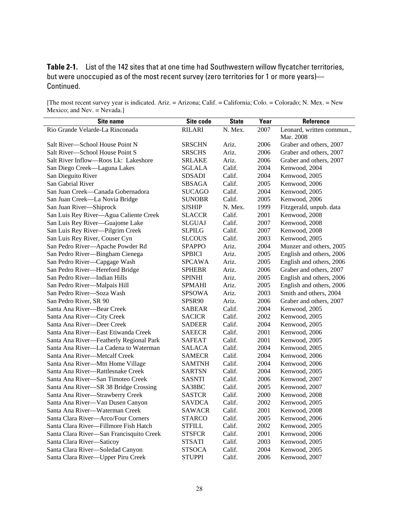| <b>Site name</b>                         | Site code     | <b>State</b> | Year | Reference                 |
|------------------------------------------|---------------|--------------|------|---------------------------|
| Rio Grande Velarde-La Rinconada          | <b>RILARI</b> | N. Mex.      | 2007 | Leonard, written commun., |
|                                          |               |              |      | Mar. 2008                 |
| Salt River-School House Point N          | <b>SRSCHN</b> | Ariz.        | 2006 | Graber and others, 2007   |
| Salt River-School House Point S          | <b>SRSCHS</b> | Ariz.        | 2006 | Graber and others, 2007   |
| Salt River Inflow-Roos Lk: Lakeshore     | <b>SRLAKE</b> | Ariz.        | 2006 | Graber and others, 2007   |
| San Diego Creek-Laguna Lakes             | <b>SGLALA</b> | Calif.       | 2004 | Kenwood, 2004             |
| San Dieguito River                       | <b>SDSADI</b> | Calif.       | 2004 | Kenwood, 2005             |
| San Gabrial River                        | <b>SBSAGA</b> | Calif.       | 2005 | Kenwood, 2006             |
| San Juan Creek-Canada Gobernadora        | <b>SUCAGO</b> | Calif.       | 2004 | Kenwood, 2005             |
| San Juan Creek-La Novia Bridge           | <b>SUNOBR</b> | Calif.       | 2005 | Kenwood, 2006             |
| San Juan River-Shiprock                  | <b>SJSHIP</b> | N. Mex.      | 1999 | Fitzgerald, unpub. data   |
| San Luis Rey River-Agua Caliente Creek   | <b>SLACCR</b> | Calif.       | 2001 | Kenwood, 2008             |
| San Luis Rey River-Guajome Lake          | <b>SLGUAJ</b> | Calif.       | 2007 | Kenwood, 2008             |
| San Luis Rey River-Pilgrim Creek         | <b>SLPILG</b> | Calif.       | 2007 | Kenwood, 2008             |
| San Luis Rey River, Couser Cyn           | <b>SLCOUS</b> | Calif.       | 2003 | Kenwood, 2005             |
| San Pedro River-Apache Powder Rd         | <b>SPAPPO</b> | Ariz.        | 2004 | Munzer and others, 2005   |
| San Pedro River-Bingham Cienega          | <b>SPBICI</b> | Ariz.        | 2005 | English and others, 2006  |
| San Pedro River-Capgage Wash             | <b>SPCAWA</b> | Ariz.        | 2005 | English and others, 2006  |
| San Pedro River-Hereford Bridge          | <b>SPHEBR</b> | Ariz.        | 2006 | Graber and others, 2007   |
| San Pedro River-Indian Hills             | <b>SPINHI</b> | Ariz.        | 2005 | English and others, 2006  |
| San Pedro River-Malpais Hill             | <b>SPMAHI</b> | Ariz.        | 2005 | English and others, 2006  |
| San Pedro River-Soza Wash                | <b>SPSOWA</b> | Ariz.        | 2003 | Smith and others, 2004    |
| San Pedro River, SR 90                   | SPSR90        | Ariz.        | 2006 | Graber and others, 2007   |
| Santa Ana River-Bear Creek               | <b>SABEAR</b> | Calif.       | 2004 | Kenwood, 2005             |
| Santa Ana River-City Creek               | <b>SACICR</b> | Calif.       | 2002 | Kenwood, 2005             |
| Santa Ana River-Deer Creek               | <b>SADEER</b> | Calif.       | 2004 | Kenwood, 2005             |
| Santa Ana River-East Etiwanda Creek      | <b>SAEECR</b> | Calif.       | 2001 | Kenwood, 2006             |
| Santa Ana River-Featherly Regional Park  | <b>SAFEAT</b> | Calif.       | 2001 | Kenwood, 2005             |
| Santa Ana River-La Cadena to Waterman    | <b>SALACA</b> | Calif.       | 2004 | Kenwood, 2005             |
| Santa Ana River-Metcalf Creek            | <b>SAMECR</b> | Calif.       | 2004 | Kenwood, 2006             |
| Santa Ana River-Mtn Home Village         | <b>SAMTNH</b> | Calif.       | 2004 | Kenwood, 2006             |
| Santa Ana River-Rattlesnake Creek        | <b>SARTSN</b> | Calif.       | 2004 | Kenwood, 2005             |
| Santa Ana River-San Timoteo Creek        | <b>SASNTI</b> | Calif.       | 2006 | Kenwood, 2007             |
| Santa Ana River-SR 38 Bridge Crossing    | SA38BC        | Calif.       | 2005 | Kenwood, 2007             |
| Santa Ana River-Strawberry Creek         | <b>SASTCR</b> | Calif.       | 2000 | Kenwood, 2008             |
| Santa Ana River-Van Dusen Canyon         | SAVDCA        | Calif.       | 2002 | Kenwood, 2005             |
| Santa Ana River-Waterman Creek           | <b>SAWACR</b> | Calif.       | 2001 | Kenwood, 2008             |
| Santa Clara River-Arco/Four Corners      | <b>STARCO</b> | Calif.       | 2005 | Kenwood, 2006             |
| Santa Clara River-Fillmore Fish Hatch    | STFILL        | Calif.       | 2002 | Kenwood, 2005             |
| Santa Clara River-San Francisquito Creek | <b>STSFCR</b> | Calif.       | 2001 | Kenwood, 2006             |
| Santa Clara River-Saticoy                | STSATI        | Calif.       | 2003 | Kenwood, 2005             |
| Santa Clara River-Soledad Canyon         | STSOCA        | Calif.       | 2004 | Kenwood, 2005             |
| Santa Clara River-Upper Piru Creek       | <b>STUPPI</b> | Calif.       | 2006 | Kenwood, 2007             |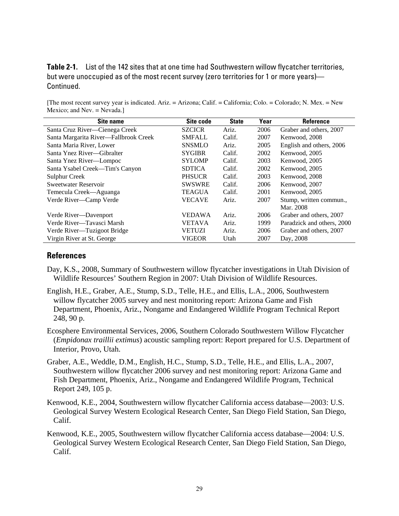| Site name                             | Site code     | <b>State</b> | Year | <b>Reference</b>           |
|---------------------------------------|---------------|--------------|------|----------------------------|
| Santa Cruz River-Cienega Creek        | <b>SZCICR</b> | Ariz.        | 2006 | Graber and others, 2007    |
| Santa Margarita River-Fallbrook Creek | <b>SMFALL</b> | Calif.       | 2007 | Kenwood, 2008              |
| Santa Maria River, Lower              | <b>SNSMLO</b> | Ariz.        | 2005 | English and others, 2006   |
| Santa Ynez River—Gibralter            | <b>SYGIBR</b> | Calif.       | 2002 | Kenwood, 2005              |
| Santa Ynez River-Lompoc               | <b>SYLOMP</b> | Calif.       | 2003 | Kenwood, 2005              |
| Santa Ysabel Creek—Tim's Canyon       | <b>SDTICA</b> | Calif.       | 2002 | Kenwood, 2005              |
| <b>Sulphur Creek</b>                  | <b>PHSUCR</b> | Calif.       | 2003 | Kenwood, 2008              |
| Sweetwater Reservoir                  | <b>SWSWRE</b> | Calif.       | 2006 | Kenwood, 2007              |
| Temecula Creek—Aguanga                | <b>TEAGUA</b> | Calif.       | 2001 | Kenwood, 2005              |
| Verde River-Camp Verde                | <b>VECAVE</b> | Ariz.        | 2007 | Stump, written commun.,    |
|                                       |               |              |      | Mar. 2008                  |
| Verde River—Davenport                 | <b>VEDAWA</b> | Ariz.        | 2006 | Graber and others, 2007    |
| Verde River—Tavasci Marsh             | <b>VETAVA</b> | Ariz.        | 1999 | Paradzick and others, 2000 |
| Verde River—Tuzigoot Bridge           | <b>VETUZI</b> | Ariz.        | 2006 | Graber and others, 2007    |
| Virgin River at St. George            | <b>VIGEOR</b> | Utah         | 2007 | Day, 2008                  |

<span id="page-32-0"></span>[The most recent survey year is indicated. Ariz. = Arizona; Calif. = California; Colo. = Colorado; N. Mex. = New Mexico; and Nev. = Nevada.]

#### **References**

- Day, K.S., 2008, Summary of Southwestern willow flycatcher investigations in Utah Division of Wildlife Resources' Southern Region in 2007: Utah Division of Wildlife Resources.
- English, H.E., Graber, A.E., Stump, S.D., Telle, H.E., and Ellis, L.A., 2006, Southwestern willow flycatcher 2005 survey and nest monitoring report: Arizona Game and Fish Department, Phoenix, Ariz., Nongame and Endangered Wildlife Program Technical Report 248, 90 p.
- Ecosphere Environmental Services, 2006, Southern Colorado Southwestern Willow Flycatcher (*Empidonax traillii extimus*) acoustic sampling report: Report prepared for U.S. Department of Interior, Provo, Utah.
- Graber, A.E., Weddle, D.M., English, H.C., Stump, S.D., Telle, H.E., and Ellis, L.A., 2007, Southwestern willow flycatcher 2006 survey and nest monitoring report: Arizona Game and Fish Department, Phoenix, Ariz., Nongame and Endangered Wildlife Program, Technical Report 249, 105 p.
- Kenwood, K.E., 2004, Southwestern willow flycatcher California access database—2003: U.S. Geological Survey Western Ecological Research Center, San Diego Field Station, San Diego, Calif.
- Kenwood, K.E., 2005, Southwestern willow flycatcher California access database—2004: U.S. Geological Survey Western Ecological Research Center, San Diego Field Station, San Diego, Calif.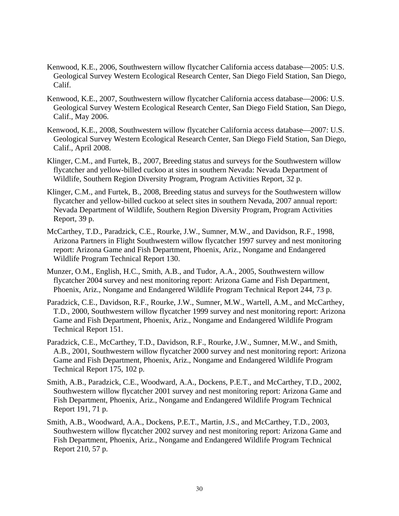- Kenwood, K.E., 2006, Southwestern willow flycatcher California access database—2005: U.S. Geological Survey Western Ecological Research Center, San Diego Field Station, San Diego, Calif.
- Kenwood, K.E., 2007, Southwestern willow flycatcher California access database—2006: U.S. Geological Survey Western Ecological Research Center, San Diego Field Station, San Diego, Calif., May 2006.
- Kenwood, K.E., 2008, Southwestern willow flycatcher California access database—2007: U.S. Geological Survey Western Ecological Research Center, San Diego Field Station, San Diego, Calif., April 2008.
- Klinger, C.M., and Furtek, B., 2007, Breeding status and surveys for the Southwestern willow flycatcher and yellow-billed cuckoo at sites in southern Nevada: Nevada Department of Wildlife, Southern Region Diversity Program, Program Activities Report, 32 p.
- Klinger, C.M., and Furtek, B., 2008, Breeding status and surveys for the Southwestern willow flycatcher and yellow-billed cuckoo at select sites in southern Nevada, 2007 annual report: Nevada Department of Wildlife, Southern Region Diversity Program, Program Activities Report, 39 p.
- McCarthey, T.D., Paradzick, C.E., Rourke, J.W., Sumner, M.W., and Davidson, R.F., 1998, Arizona Partners in Flight Southwestern willow flycatcher 1997 survey and nest monitoring report: Arizona Game and Fish Department, Phoenix, Ariz., Nongame and Endangered Wildlife Program Technical Report 130.
- Munzer, O.M., English, H.C., Smith, A.B., and Tudor, A.A., 2005, Southwestern willow flycatcher 2004 survey and nest monitoring report: Arizona Game and Fish Department, Phoenix, Ariz., Nongame and Endangered Wildlife Program Technical Report 244, 73 p.
- Paradzick, C.E., Davidson, R.F., Rourke, J.W., Sumner, M.W., Wartell, A.M., and McCarthey, T.D., 2000, Southwestern willow flycatcher 1999 survey and nest monitoring report: Arizona Game and Fish Department, Phoenix, Ariz., Nongame and Endangered Wildlife Program Technical Report 151.
- Paradzick, C.E., McCarthey, T.D., Davidson, R.F., Rourke, J.W., Sumner, M.W., and Smith, A.B., 2001, Southwestern willow flycatcher 2000 survey and nest monitoring report: Arizona Game and Fish Department, Phoenix, Ariz., Nongame and Endangered Wildlife Program Technical Report 175, 102 p.
- Smith, A.B., Paradzick, C.E., Woodward, A.A., Dockens, P.E.T., and McCarthey, T.D., 2002, Southwestern willow flycatcher 2001 survey and nest monitoring report: Arizona Game and Fish Department, Phoenix, Ariz., Nongame and Endangered Wildlife Program Technical Report 191, 71 p.
- Smith, A.B., Woodward, A.A., Dockens, P.E.T., Martin, J.S., and McCarthey, T.D., 2003, Southwestern willow flycatcher 2002 survey and nest monitoring report: Arizona Game and Fish Department, Phoenix, Ariz., Nongame and Endangered Wildlife Program Technical Report 210, 57 p.